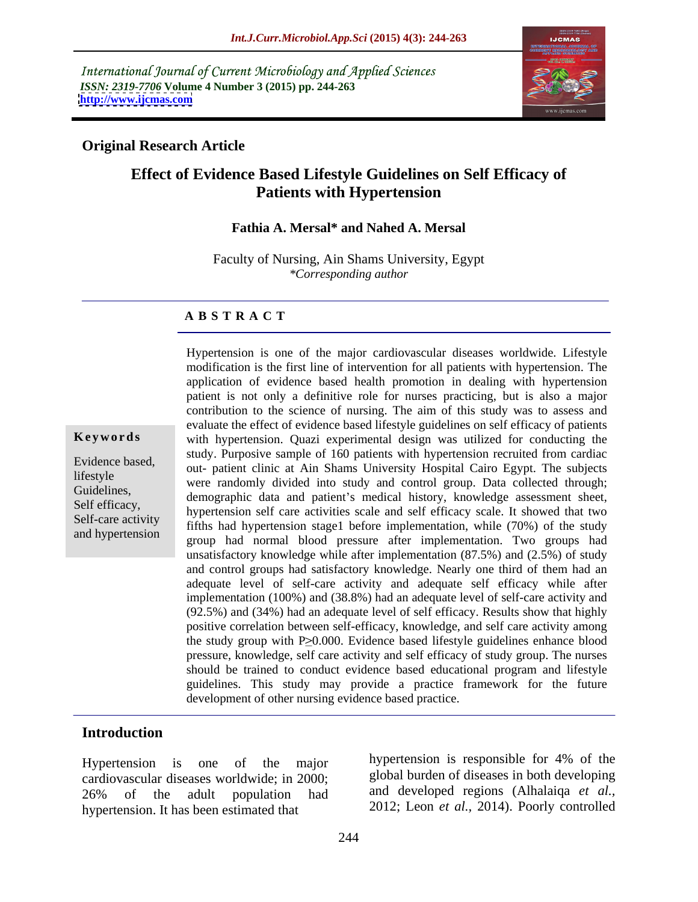International Journal of Current Microbiology and Applied Sciences *ISSN: 2319-7706* **Volume 4 Number 3 (2015) pp. 244-263 <http://www.ijcmas.com>**



### **Original Research Article**

## **Effect of Evidence Based Lifestyle Guidelines on Self Efficacy of Patients with Hypertension**

### **Fathia A. Mersal\* and Nahed A. Mersal**

Faculty of Nursing, Ain Shams University, Egypt *\*Corresponding author*

### **A B S T R A C T**

and hypertension

Hypertension is one of the major cardiovascular diseases worldwide. Lifestyle modification is the first line of intervention for all patients with hypertension. The application of evidence based health promotion in dealing with hypertension patient is not only a definitive role for nurses practicing, but is also a major contribution to the science of nursing. The aim of this study was to assess and evaluate the effect of evidence based lifestyle guidelines on self efficacy of patients **Keywords** with hypertension. Quazi experimental design was utilized for conducting the study. Purposive sample of 160 patients with hypertension recruited from cardiac Evidence based,<br>
out- patient clinic at Ain Shams University Hospital Cairo Egypt. The subjects lifestyle<br>
were randomly divided into study and control group. Data collected through; Guidelines,<br>Salf offices Self efficacy,<br>Self eggs estimates by the self care activities scale and self efficacy scale. It showed that two Self-care activity<br>and hypertension stage1 before implementation, while (70%) of the study<br>Self-care activity group had normal blood pressure after implementation. Two groups had unsatisfactory knowledge while after implementation (87.5%) and (2.5%) of study and control groups had satisfactory knowledge. Nearly one third of them had an adequate level of self-care activity and adequate self efficacy while after implementation (100%) and (38.8%) had an adequate level of self-care activity and (92.5%) and (34%) had an adequate level of self efficacy. Results show that highly positive correlation between self-efficacy, knowledge, and self care activity among the study group with  $P \geq 0.000$ . Evidence based lifestyle guidelines enhance blood pressure, knowledge, self care activity and self efficacy of study group. The nurses should be trained to conduct evidence based educational program and lifestyle guidelines. This study may provide a practice framework for the future development of other nursing evidence based practice.

### **Introduction**

cardiovascular diseases worldwide; in 2000; 26% of the adult population had and developed regions (Alhalaique et al., hypertension. It has been estimated that

Hypertension is one of the major bypertension is responsible for 4% of the hypertension is responsible for 4% of the global burden of diseases in both developing and developed regions (Alhalaiqa *et al.,* 2012; Leon *et al.,* 2014). Poorly controlled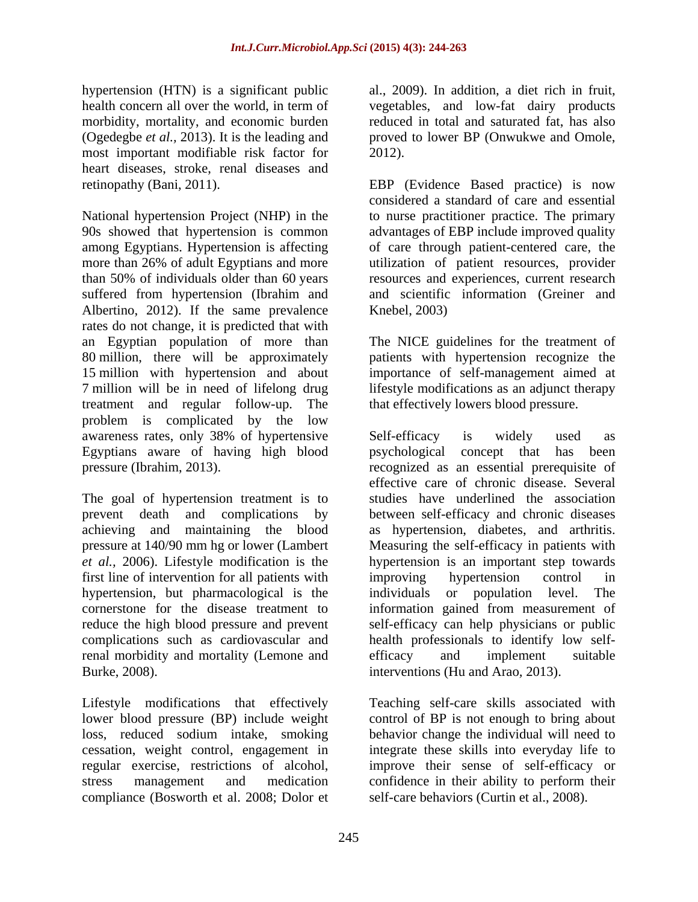hypertension (HTN) is a significant public al., 2009). In addition, a diet rich in fruit, health concern all over the world, in term of vegetables, and low-fat dairy products morbidity, mortality, and economic burden (Ogedegbe *et al.,* 2013). It is the leading and proved to lower BP (Onwukwe and Omole, most important modifiable risk factor for 2012). heart diseases, stroke, renal diseases and

National hypertension Project (NHP) in the to nurse practitioner practice. The primary 90s showed that hypertension is common advantages of EBP include improved quality among Egyptians. Hypertension is affecting of care through patient-centered care, the more than 26% of adult Egyptians and more autilization of patient resources, provider than 50% of individuals older than 60 years resources and experiences, current research suffered from hypertension (Ibrahim and Albertino, 2012). If the same prevalence Knebel, 2003) rates do not change, it is predicted that with an Egyptian population of more than The NICE guidelines for the treatment of 80 million, there will be approximately patients with hypertension recognize the 15 million with hypertension and about importance of self-management aimed at 7 million will be in need of lifelong drug lifestyle modifications as an adjunct therapy treatment and regular follow-up. The problem is complicated by the low Egyptians aware of having high blood

The goal of hypertension treatment is to first line of intervention for all patients with improving hypertension control in hypertension, but pharmacological is the individuals or population level. The reduce the high blood pressure and prevent renal morbidity and mortality (Lemone and efficacy and implement suitable Burke, 2008). interventions (Hu and Arao*,* 2013).

Lifestyle modifications that effectively lower blood pressure (BP) include weight<br>loss, reduced sodium intake, smoking compliance (Bosworth et al. 2008; Dolor et

reduced in total and saturated fat, has also 2012).

retinopathy (Bani, 2011). EBP (Evidence Based practice) is now considered a standard of care and essential and scientific information (Greiner and Knebel, 2003)

that effectively lowers blood pressure.

awareness rates, only 38% of hypertensive pressure (Ibrahim, 2013). recognized as an essential prerequisite of prevent death and complications by between self-efficacy and chronic diseases achieving and maintaining the blood as hypertension, diabetes, and arthritis. pressure at 140/90 mm hg or lower (Lambert Measuring the self-efficacy in patients with *et al.,* 2006).Lifestyle modification is the hypertension is an important step towards cornerstone for the disease treatment to information gained from measurement of complications such as cardiovascular and health professionals to identify low self- Self-efficacy is widely used as psychological concept that has effective care of chronic disease. Several studies have underlined the association improving hypertension control in individuals or population level. The self-efficacy can help physicians or public efficacy and implement suitable

loss, reduced sodium intake, smoking behavior change the individual will need to cessation, weight control, engagement in integrate these skills into everyday life to regular exercise, restrictions of alcohol, improve their sense of self-efficacy or stress management and medication confidence in their ability to perform their Teaching self-care skills associated with control of BP is not enough to bring about self-care behaviors (Curtin et al., 2008).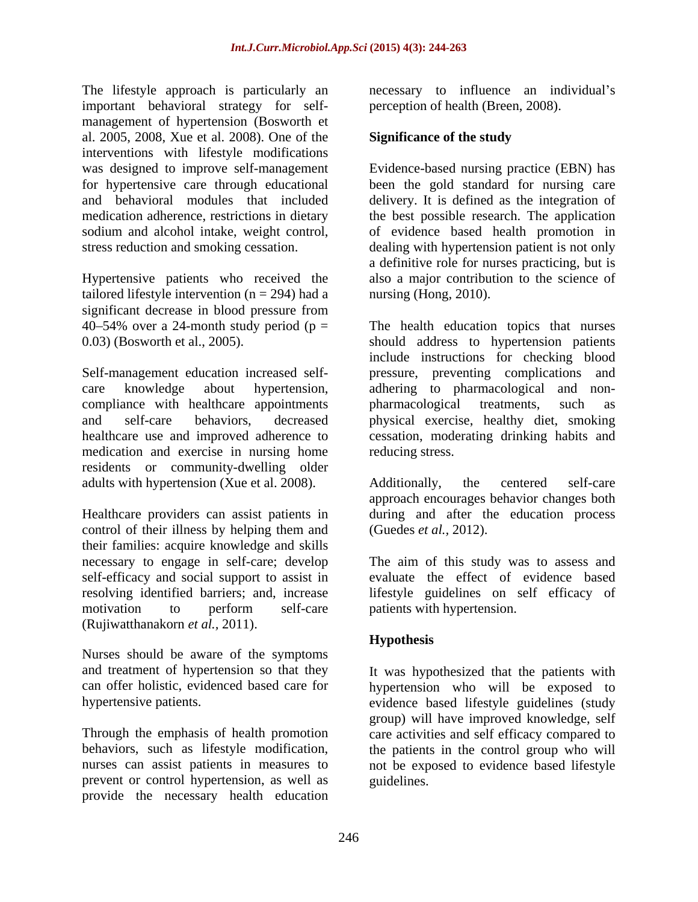The lifestyle approach is particularly an important behavioral strategy for self management of hypertension (Bosworth et al. 2005, 2008, Xue et al. 2008). One of the interventions with lifestyle modifications

Hypertensive patients who received the tailored lifestyle intervention  $(n = 294)$  had a significant decrease in blood pressure from

Self-management education increased self- pressure, preventing complications and care knowledge about hypertension, adhering to pharmacological and non compliance with healthcare appointments bharmacological treatments, such as and self-care behaviors, decreased physical exercise, healthy diet, smoking healthcare use and improved adherence to cessation, moderating drinking habits and medication and exercise in nursing home residents or community-dwelling older adults with hypertension (Xue et al. 2008). Additionally, the centered self-care

Healthcare providers can assist patients in control of their illness by helping them and their families: acquire knowledge and skills necessary to engage in self-care; develop The aim of this study was to assess and self-efficacy and social support to assist in evaluate the effect of evidence based resolving identified barriers; and, increase motivation to perform self-care patients with hypertension. (Rujiwatthanakorn *et al.,* 2011).

Nurses should be aware of the symptoms

prevent or control hypertension, as well as provide the necessary health education necessary to influence an individual's perception of health (Breen, 2008).

## **Significance of the study**

was designed to improve self-management Evidence-based nursing practice (EBN) has for hypertensive care through educational been the gold standard for nursing care and behavioral modules that included delivery. It is defined as the integration of medication adherence, restrictions in dietary the best possible research. The application sodium and alcohol intake, weight control, of evidence based health promotion in stress reduction and smoking cessation. dealing with hypertension patient is not only a definitive role for nurses practicing, but is also a major contribution to the science of nursing (Hong, 2010).

 $40-54\%$  over a 24-month study period ( $p =$  The health education topics that nurses 0.03) (Bosworth et al., 2005). should address to hypertension patients include instructions for checking blood pharmacological treatments, such as reducing stress.

> Additionally, the centered self-care approach encourages behavior changes both during and after the education process (Guedes *et al.,* 2012).

lifestyle guidelines on self efficacy of patients with hypertension.

## **Hypothesis**

and treatment of hypertension so that they It was hypothesized that the patients with can offer holistic, evidenced based care for hypertension who will be exposed to hypertensive patients. evidence based lifestyle guidelines (study Through the emphasis of health promotion care activities and self efficacy compared to behaviors, such as lifestyle modification, the patients in the control group who will nurses can assist patients in measures to not be exposed to evidence based lifestyle group) will have improved knowledge, self guidelines.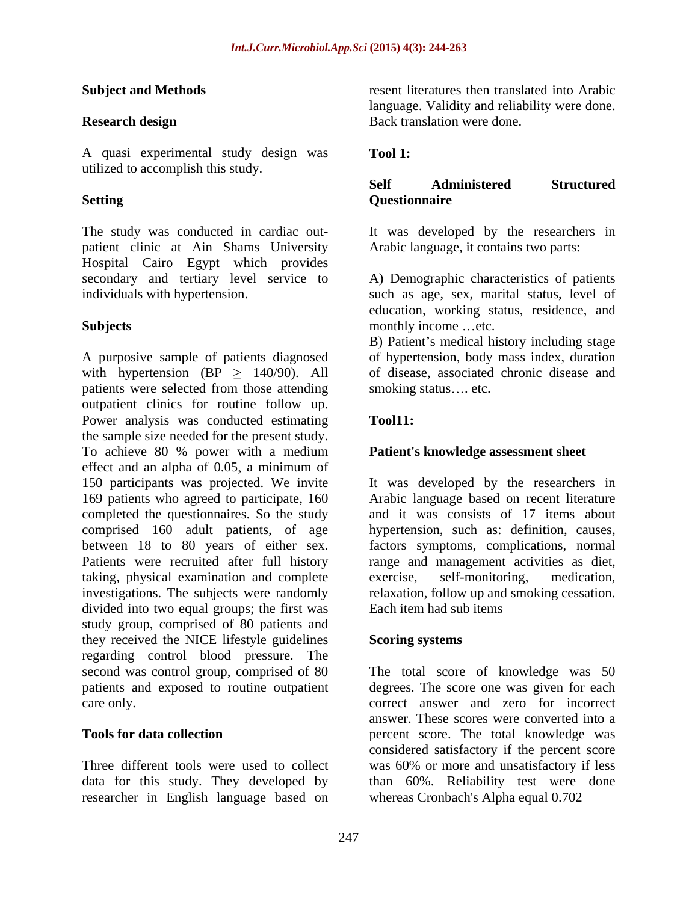A quasi experimental study design was Tool 1: utilized to accomplish this study.

The study was conducted in cardiac out- It was developed by the researchers in patient clinic at Ain Shams University Hospital Cairo Egypt which provides secondary and tertiary level service to individuals with hypertension. such as age, sex, marital status, level of

A purposive sample of patients diagnosed of hypertension, body mass index, duration with hypertension  $(BP \ge 140/90)$ . All patients were selected from those attending smoking status.... etc. outpatient clinics for routine follow up. Power analysis was conducted estimating Tool11: the sample size needed for the present study. To achieve 80 % power with a medium effect and an alpha of 0.05 a minimum of 150 participants was projected. We invite It was developed by the researchers in 169 patients who agreed to participate, 160 completed the questionnaires. So the study and it was consists of 17 items about comprised 160 adult patients, of age hypertension, such as: definition, causes, between 18 to 80 years of either sex. factors symptoms, complications, normal Patients were recruited after full history range and management activities as diet, taking, physical examination and complete investigations. The subjects were randomly divided into two equal groups; the first was study group, comprised of 80 patients and they received the NICE lifestyle guidelines Scoring systems regarding control blood pressure. The second was control group, comprised of 80

data for this study. They developed by researcher in English language based on

**Subject and Methods** resent literatures then translated into Arabic **Research design Exercise 2.1 Second Back translation were done.** language. Validity and reliability were done. Back translation were done.

## **Tool 1:**

### **Setting Cuestionnaire** and the setting of the setting of the setting of the set of the set of the set of the set of the set of the set of the set of the set of the set of the set of the set of the set of the set of the se **Self Administered Structured Questionnaire**

Arabic language, it contains two parts:

**Subjects** monthly income ...etc. A) Demographic characteristics of patients education, working status, residence, and monthly income ...etc.

B) Patient's medical history including stage of disease, associated chronic disease and smoking status.... etc.

## **Tool11:**

## **Patient's knowledge assessment sheet**

Arabic language based on recent literature exercise, self-monitoring, medication, relaxation, follow up and smoking cessation. Each item had sub items

## **Scoring systems**

second was control group, comprised of 80 The total score of knowledge was 50 patients and exposed to routine outpatient degrees. The score one was given for each care only. correct answer and zero for incorrect **Tools for data collection** percent score. The total knowledge was Three different tools were used to collect was 60% or more and unsatisfactory if less answer. These scores were converted into a considered satisfactory if the percent score than 60%. Reliability test were done whereas Cronbach's Alpha equal 0.702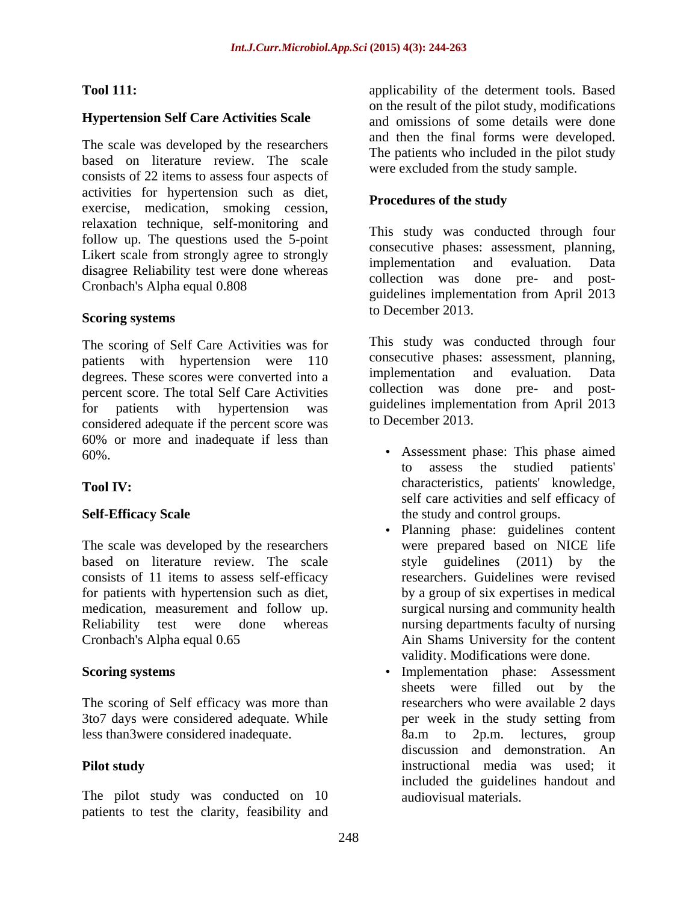The scale was developed by the researchers based on literature review. The scale consists of 22 items to assess four aspects of activities for hypertension such as diet, exercise, medication, smoking cession, relaxation technique, self-monitoring and follow up. The questions used the 5-point Likert scale from strongly agree to strongly<br>implementation and evaluation. Data disagree Reliability test were done whereas Cronbach's Alpha equal 0.808

### **Scoring systems** to December 2015.

The scoring of Self Care Activities was for patients with hypertension were 110 consecutive phases: assessment, planning,<br>degrees These scores were converted into a implementation and evaluation. Data degrees. These scores were converted into a percent score. The total Self Care Activities for patients with hypertension was guidelines implementation from April 2013 considered adequate if the percent score was 60% or more and inadequate if less than

The scale was developed by the researchers based on literature review. The scale style guidelines (2011) by the consists of 11 items to assess self-efficacy for patients with hypertension such as diet, medication, measurement and follow up. Reliability test were done whereas nursing departments faculty of nursing Cronbach's Alpha equal 0.65 Ain Shams University for the content

The scoring of Self efficacy was more than 3to7 days were considered adequate. While less than3were considered inadequate. 8a.m to 2p.m. lectures, group

The pilot study was conducted on 10 patients to test the clarity, feasibility and

**Tool 111:** Tool **111: applicability** of the determent tools. Based **Hypertension Self Care Activities Scale** and omissions of some details were done on the result of the pilot study, modifications and then the final forms were developed. The patients who included in the pilot study were excluded from the study sample.

### **Procedures of the study**

This study was conducted through four consecutive phases: assessment, planning, implementation and evaluation. Data collection was done pre- and post guidelines implementation from April 2013 to December 2013.

This study was conducted through four consecutive phases: assessment, planning, implementation and evaluation. Data collection was done pre- and post to December 2013.

- 60%. Assessment phase: This phase aimed **Tool IV:** characteristics, patients' knowledge, Self-Efficacy Scale **Self-Efficacy** Scale **the study and control groups**. to assess the studied patients' self care activities and self efficacy of
	- Planning phase: guidelines content were prepared based on NICE life style guidelines  $(2011)$  by researchers. Guidelines were revised by a group of six expertises in medical surgical nursing and community health validity. Modifications were done.
- **Scoring systems** Implementation phase: Assessment **Pilot study** instructional media was used; it sheets were filled out by the researchers who were available 2 days per week in the study setting from 8a.m to 2p.m. lectures, group discussion and demonstration. An included the guidelines handout and audiovisual materials.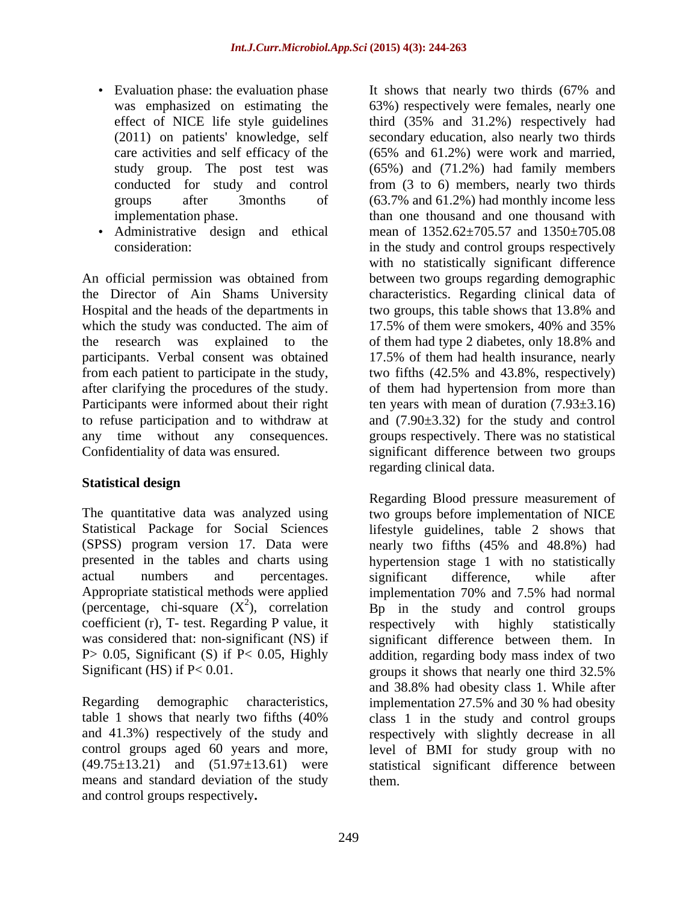- 
- Administrative design and ethical

An official permission was obtained from the Director of Ain Shams University characteristics. Regarding clinical data of Hospital and the heads of the departments in two groups, this table shows that 13.8% and which the study was conducted. The aim of 17.5% of them were smokers, 40% and 35% the research was explained to the of them had type 2 diabetes, only 18.8% and participants. Verbal consent was obtained 17.5% of them had health insurance, nearly from each patient to participate in the study, two fifths (42.5% and 43.8%, respectively) after clarifying the procedures of the study.  $\qquad \qquad$  of them had hypertension from more than Participants were informed about their right ten years with mean of duration (7.93 $\pm$ 3.16) to refuse participation and to withdraw at and (7.90±3.32) for the study and control any time without any consequences. groups respectively. There was no statistical

### **Statistical design**

(SPSS) program version 17. Data were nearly two fifths (45% and 48.8%) had Appropriate statistical methods were applied implementation 70% and 7.5% had normal (percentage, chi-square  $(X^2)$ , correlation coefficient (r), T- test. Regarding P value, it was considered that: non-significant (NS) if Significant (HS) if P< 0.01. The groups it shows that nearly one third 32.5%

means and standard deviation of the study and control groups respectively**.**

• Evaluation phase: the evaluation phase It shows that nearly two thirds (67% and was emphasized on estimating the 63%) respectively were females, nearly one effect of NICE life style guidelines third (35% and 31.2%) respectively had (2011) on patients' knowledge, self secondary education, also nearly two thirds care activities and self efficacy of the (65% and 61.2%) were work and married, study group. The post test was (65%) and (71.2%) had family members conducted for study and control from (3 to 6) members, nearly two thirds groups after 3months of (63.7% and 61.2%) had monthly income less implementation phase. than one thousand and one thousand with consideration: in the study and control groups respectively Confidentiality of data was ensured. significant difference between two groups It shows that nearly two thirds (67% and mean of 1352.62±705.57 and 1350±705.08 with no statistically significant difference between two groups regarding demographic two groups, this table shows that 13.8% and 17.5% of them were smokers, 40% and 35% of them had type 2 diabetes, only 18.8% and regarding clinical data.

The quantitative data was analyzed using two groups before implementation of NICE Statistical Package for Social Sciences lifestyle guidelines, table 2 shows that presented in the tables and charts using hypertension stage 1 with no statistically actual numbers and percentages. significant difference, while after <sup>2</sup>), correlation  $\overrightarrow{Bp}$  in the study and control groups P > 0.05, Significant (S) if P < 0.05, Highly addition, regarding body mass index of two Regarding demographic characteristics, implementation 27.5% and 30 % had obesity table 1 shows that nearly two fifths (40% class 1 in the study and control groups and 41.3%) respectively of the study and respectively with slightly decrease in all control groups aged 60 years and more, level of BMI for study group with no<br>(49.75±13.21) and (51.97±13.61) were statistical significant difference between Regarding Blood pressure measurement of nearly two fifths (45% and 48.8%) had significant difference, while after implementation 70% and 7.5% had normal respectively with highly statistically significant difference between them. In groups it shows that nearly one third 32.5% and 38.8% had obesity class 1. While after level of BMI for study group with no statistical significant difference between them.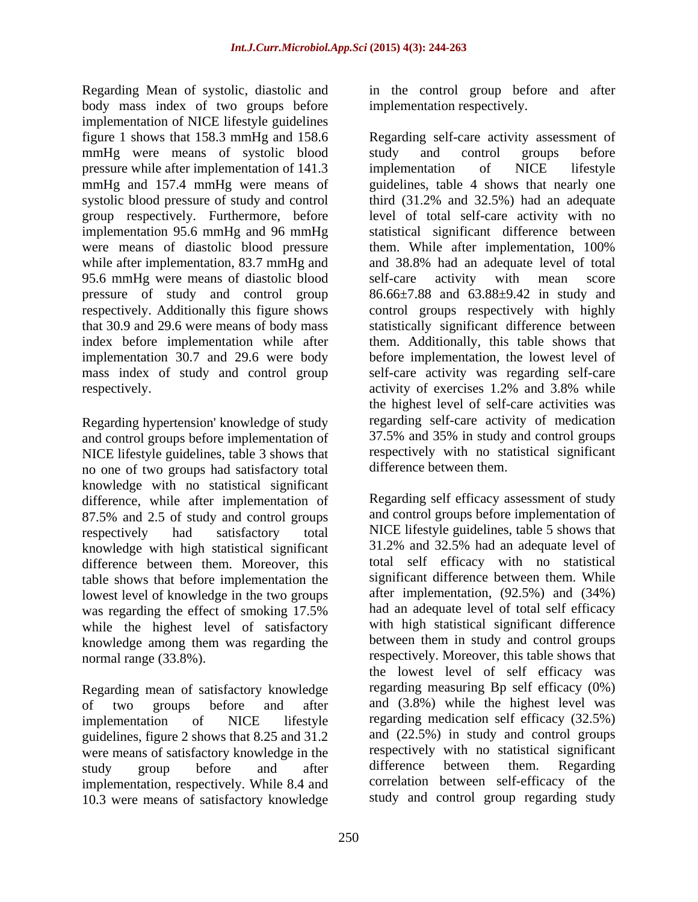Regarding Mean of systolic, diastolic and in the control group before and after body mass index of two groups before implementation of NICE lifestyle guidelines mmHg were means of systolic blood study and control groups before pressure while after implementation of 141.3 implementation of NICE lifestyle 95.6 mmHg were means of diastolic blood self-care activity with mean score pressure of study and control group

Regarding hypertension' knowledge of study and control groups before implementation of NICE lifestyle guidelines, table 3 shows that no one of two groups had satisfactory total knowledge with no statistical significant difference, while after implementation of 87.5% and 2.5 of study and control groups knowledge with high statistical significant difference between them. Moreover, this table shows that before implementation the lowest level of knowledge in the two groups while the highest level of satisfactory knowledge among them was regarding the

Regarding mean of satisfactory knowledge guidelines, figure 2 shows that 8.25 and 31.2 were means of satisfactory knowledge in the respectively with no statistical significant<br>study organ hefore and after difference between them. Regarding implementation, respectively. While 8.4 and 10.3 were means of satisfactory knowledge

implementation respectively.

figure 1 shows that 158.3 mmHg and 158.6 Regarding self-care activity assessment of mmHg and 157.4 mmHg were means of guidelines, table 4 shows that nearly one systolic blood pressure of study and control third (31.2% and 32.5%) had an adequate group respectively. Furthermore, before level of total self-care activity with no implementation 95.6 mmHg and 96 mmHg statistical significant difference between were means of diastolic blood pressure them. While after implementation, 100% while after implementation, 83.7 mmHg and and 38.8% had an adequate level of total respectively. Additionally this figure shows control groups respectively with highly that 30.9 and 29.6 were means of body mass statistically significant difference between index before implementation while after them. Additionally, this table shows that implementation 30.7 and 29.6 were body before implementation, the lowest level of mass index of study and control group self-care activity was regarding self-care respectively. activity of exercises 1.2% and 3.8% while study and control groups before implementation of NICE lifestyle self-care activity with mean score 86.66±7.88 and 63.88±9.42 in study and the highest level of self-care activities was regarding self-care activity of medication 37.5% and 35% in study and control groups respectively with no statistical significant difference between them.

respectively had satisfactory total NICE lifestyle guidelines, table 5 shows that was regarding the effect of smoking 17.5% had an adequate level of total self efficacy normal range (33.8%). respectively. Moreover, this table shows that of two groups before and after and (3.8%) while the highest level was implementation of NICE lifestyle regarding medication self efficacy (32.5%) study group before and after difference between them. Regarding Regarding self efficacy assessment of study and control groups before implementation of 31.2% and 32.5% had an adequate level of total self efficacy with no statistical significant difference between them. While after implementation, (92.5%) and (34%) had an adequate level of total self efficacy with high statistical significant difference between them in study and control groups the lowest level of self efficacy was regarding measuring Bp self efficacy (0%) and (22.5%) in study and control groups respectively with no statistical significant difference between them. Regarding correlation between self-efficacy of the study and control group regarding study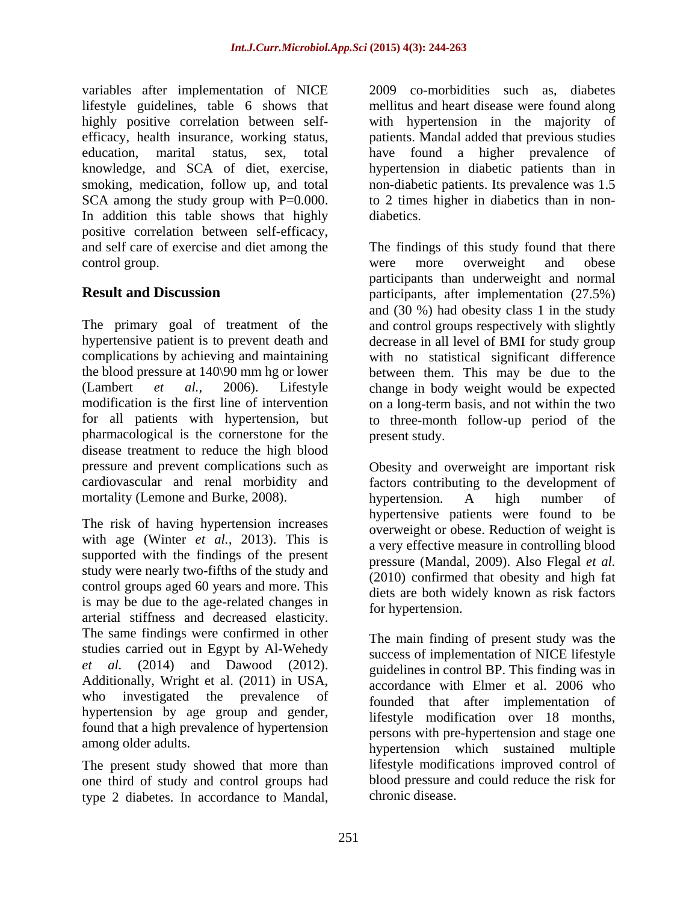variables after implementation of NICE lifestyle guidelines, table 6 shows that mellitus and heart disease were found along highly positive correlation between self- with hypertension in the majority of efficacy, health insurance, working status, patients. Mandal added that previous studies education, marital status, sex, total have found a higher prevalence of knowledge, and SCA of diet, exercise, hypertension in diabetic patients than in smoking, medication, follow up, and total non-diabetic patients. Its prevalence was 1.5 SCA among the study group with P=0.000. to 2 times higher in diabetics than in non-In addition this table shows that highly diabetics. positive correlation between self-efficacy, and self care of exercise and diet among the The findings of this study found that there control group. The control group. The control group. The control group. The control group.

The primary goal of treatment of the and control groups respectively with slightly hypertensive patient is to prevent death and decrease in all level of BMI for study group complications by achieving and maintaining with no statistical significant difference the blood pressure at 140\90 mm hg or lower between them. This may be due to the (Lambert *et al.,* 2006). Lifestyle change in body weight would be expected modification is the first line of intervention on a long-term basis, and not within the two for all patients with hypertension, but to three-month follow-up period of the pharmacological is the cornerstone for the disease treatment to reduce the high blood pressure and prevent complications such as Obesity and overweight are important risk cardiovascular and renal morbidity and factors contributing to the development of mortality (Lemone and Burke, 2008). hypertension. A high number of

The risk of having hypertension increases with age (Winter *et al.,* 2013). This is supported with the findings of the present study were nearly two-fifths of the study and control groups aged 60 years and more. This is may be due to the age-related changes in arterial stiffness and decreased elasticity. The same findings were confirmed in other studies carried out in Egypt by Al-Wehedy *et al.* (2014) and Dawood (2012). Additionally, Wright et al. (2011) in USA, who investigated the prevalence of hypertension by age group and gender, found that a high prevalence of hypertension

The present study showed that more than one third of study and control groups had type 2 diabetes. In accordance to Mandal,

2009 co-morbidities such as, diabetes diabetics.

**Result and Discussion participants**, after implementation (27.5%) were more overweight and obese participants than underweight and normal and (30 %) had obesity class 1 in the study present study.

> hypertension. A high number of hypertensive patients were found to be overweight or obese. Reduction of weight is a very effective measure in controlling blood pressure (Mandal, 2009). Also Flegal *et al.* (2010) confirmed that obesity and high fat diets are both widely known as risk factors for hypertension.

among older adults.<br>
hypertension which sustained multiple The main finding of present study was the success of implementation of NICE lifestyle guidelines in control BP. This finding was in accordance with Elmer et al. 2006 who founded that after implementation of lifestyle modification over 18 months, persons with pre-hypertension and stage one lifestyle modifications improved control of blood pressure and could reduce the risk for chronic disease.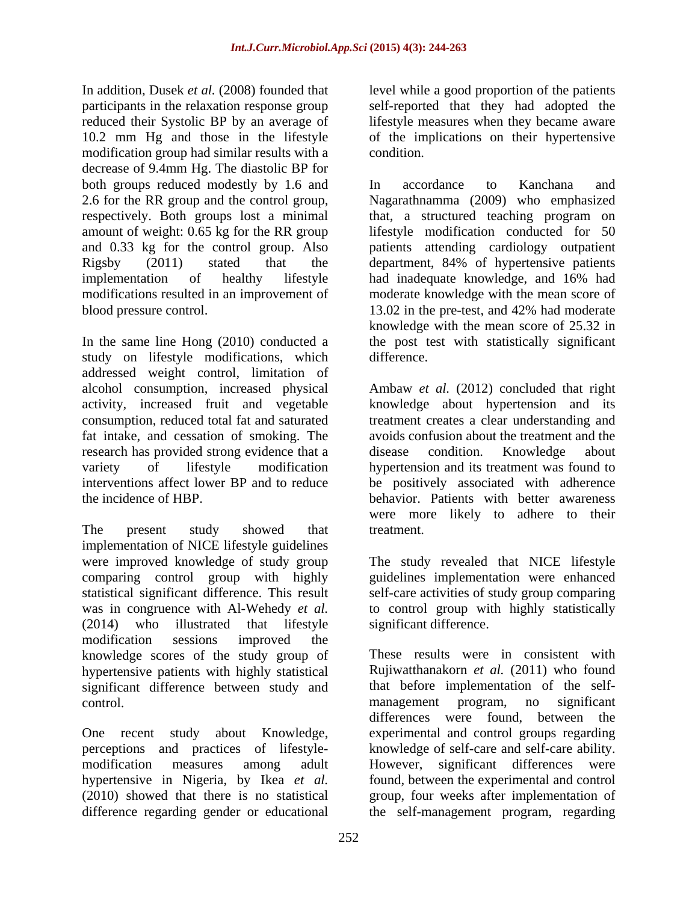In addition, Dusek *et al.* (2008) founded that level while a good proportion of the patients participants in the relaxation response group self-reported that they had adopted the reduced their Systolic BP by an average of 10.2 mm Hg and those in the lifestyle of the implications on their hypertensive modification group had similar results with a decrease of 9.4mm Hg. The diastolic BP for both groups reduced modestly by 1.6 and <br>In accordance to Kanchana and 2.6 for the RR group and the control group, Nagarathnamma (2009) who emphasized respectively. Both groups lost a minimal that, a structured teaching program on amount of weight: 0.65 kg for the RR group and 0.33 kg for the control group. Also patients attending cardiology outpatient Rigsby (2011) stated that the department, 84% of hypertensive patients implementation of healthy lifestyle had inadequate knowledge, and 16% had modifications resulted in an improvement of moderate knowledge with the mean score of blood pressure control. 13.02 in the pre-test, and 42% had moderate

In the same line Hong (2010) conducted a the post test with statistically significant study on lifestyle modifications, which addressed weight control, limitation of alcohol consumption, increased physical Ambaw *et al.* (2012) concluded that right activity, increased fruit and vegetable knowledge about hypertension and its consumption, reduced total fat and saturated treatment creates a clear understanding and fat intake, and cessation of smoking. The research has provided strong evidence that a disease condition. Knowledge about variety of lifestyle modification hypertension and its treatment was found to interventions affect lower BP and to reduce be positively associated with adherence the incidence of HBP. behavior. Patients with better awareness

The present study showed that treatment. implementation of NICE lifestyle guidelines were improved knowledge of study group The study revealed that NICE lifestyle comparing control group with highly guidelines implementation were enhanced statistical significant difference. This result self-care activities of study group comparing was in congruence with Al-Wehedy *et al.* to control group with highly statistically (2014) who illustrated that lifestyle significant difference. modification sessions improved the knowledge scores of the study group of hypertensive patients with highly statistical significant difference between study and that before implementation of the self-<br>control. The management program, no significant

lifestyle measures when they became aware condition.

In accordance to Kanchana and lifestyle modification conducted for 50 had inadequate knowledge, and 16% had 13.02 in the pre-test, and 42% had moderate knowledge with the mean score of 25.32 in difference.

avoids confusion about the treatment and the disease condition. Knowledge about were more likely to adhere to their treatment.

significant difference.

control. The management program, no significant One recent study about Knowledge, experimental and control groups regarding perceptions and practices of lifestyle- knowledge of self-care and self-care ability. modification measures among adult However, significant differences were hypertensive in Nigeria, by Ikea *et al.* found, between the experimental and control (2010) showed that there is no statistical group, four weeks after implementation of difference regarding gender or educational the self-management program, regardingThese results were in consistent with Rujiwatthanakorn *et al.* (2011) who found that before implementation of the self management program, no significant differences were found, between the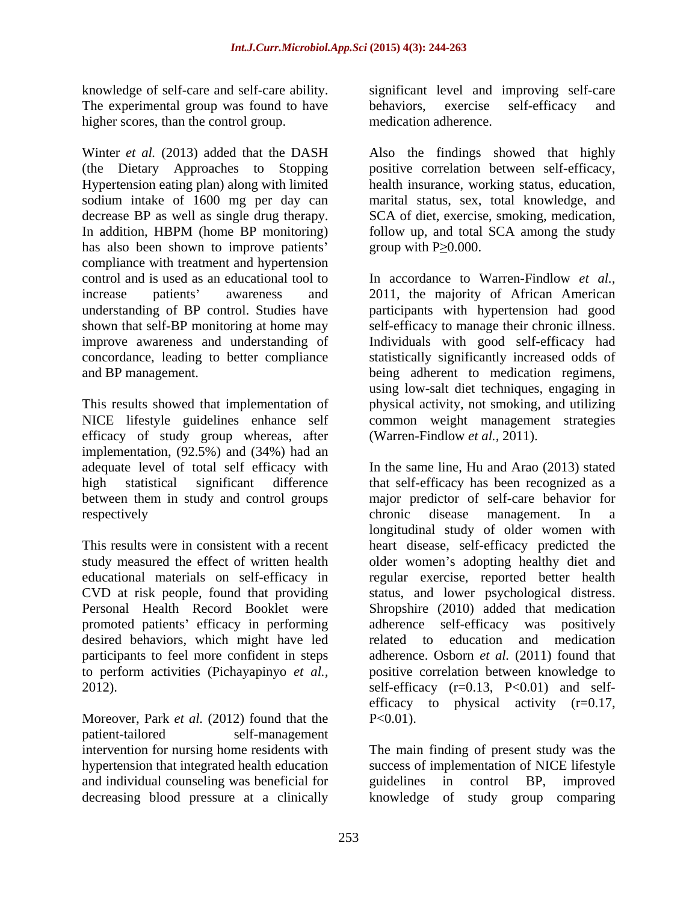The experimental group was found to have behaviors, exercise self-efficacy and higher scores, than the control group.

Winter *et al.* (2013) added that the DASH Also the findings showed that highly (the Dietary Approaches to Stopping Hypertension eating plan) along with limited health insurance, working status, education, sodium intake of 1600 mg per day can decrease BP as well as single drug therapy. In addition, HBPM (home BP monitoring) follow up, and total SCA among the study has also been shown to improve patients' group with  $P \geq 0.000$ . compliance with treatment and hypertension control and is used as an educational tool to In accordance to Warren-Findlow *et al.,* increase patients' awareness and 2011, the majority of African American understanding of BP control. Studies have participants with hypertension had good shown that self-BP monitoring at home may self-efficacy to manage their chronic illness. improve awareness and understanding of Individuals with good self-efficacy had concordance, leading to better compliance statistically significantly increased odds of

efficacy of study group whereas, after implementation, (92.5%) and (34%) had an between them in study and control groups

promoted patients' efficacy in performing adherence self-efficacy was positively desired behaviors, which might have led related to education and medication

Moreover, Park *et al.* (2012) found that the P<0.01). patient-tailored self-management and individual counseling was beneficial for<br>decreasing blood pressure at a clinically<br>knowledge of study group comparing decreasing blood pressure at a clinically knowledge of study group comparing

knowledge of self-care and self-care ability. significant level and improving self-care behaviors, exercise self-efficacy and medication adherence.

> positive correlation between self-efficacy, marital status, sex, total knowledge, and SCA of diet, exercise, smoking, medication, group with  $P \geq 0.000$ .

and BP management. being adherent to medication regimens, This results showed that implementation of physical activity, not smoking, and utilizing NICE lifestyle guidelines enhance self common weight management strategies using low-salt diet techniques, engaging in (Warren-Findlow *et al.,* 2011).

adequate level of total self efficacy with In the same line, Hu and Arao (2013) stated high statistical significant difference that self-efficacy has been recognized as a respectively chronic disease management. In a This results were in consistent with a recent heart disease, self-efficacy predicted the study measured the effect of written health older women's adopting healthy diet and educational materials on self-efficacy in regular exercise, reported better health CVD at risk people, found that providing status, and lower psychological distress. Personal Health Record Booklet were Shropshire (2010) added that medication participants to feel more confident in steps adherence. Osborn *et al.* (2011) found that to perform activities (Pichayapinyo *et al.,* positive correlation between knowledge to 2012). self-efficacy (r=0.13, P<0.01) and self major predictor of self-care behavior for chronic disease management. In a longitudinal study of older women with adherence self-efficacy was related to education and medication efficacy to physical activity  $(r=0.17)$ ,  $P<0.01$ ).

intervention for nursing home residents with The main finding of present study was the hypertension that integrated health education success of implementation of NICE lifestyle guidelines in control BP, improved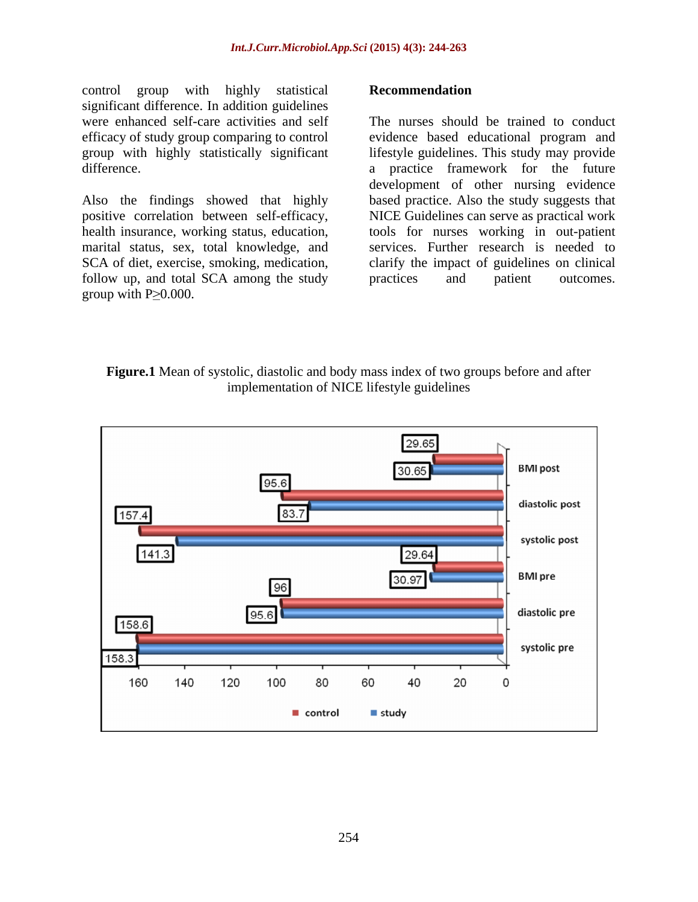control group with highly statistical **Recommendation** significant difference. In addition guidelines

follow up, and total SCA among the study practices and patient outcomes.

were enhanced self-care activities and self The nurses should be trained to conduct efficacy of study group comparing to control evidence based educational program and group with highly statistically significant lifestyle guidelines. This study may provide difference. a practice framework for the future Also the findings showed that highly based practice. Also the study suggests that positive correlation between self-efficacy, NICE Guidelines can serve as practical work health insurance, working status, education, tools for nurses working in out-patient marital status, sex, total knowledge, and services. Further research is needed to SCA of diet, exercise, smoking, medication, clarify the impact of guidelines on clinical control group with highly statistical<br>
significant difference. In addition guidelines<br>
were enhanced self-care activities and self<br>
efficacy of study group comparing to control<br>
evidence based educational program and<br>
grou development of other nursing evidence practices and patient outcomes.

### **Figure.1** Mean of systolic, diastolic and body mass index of two groups before and after implementation of NICE lifestyle guidelines

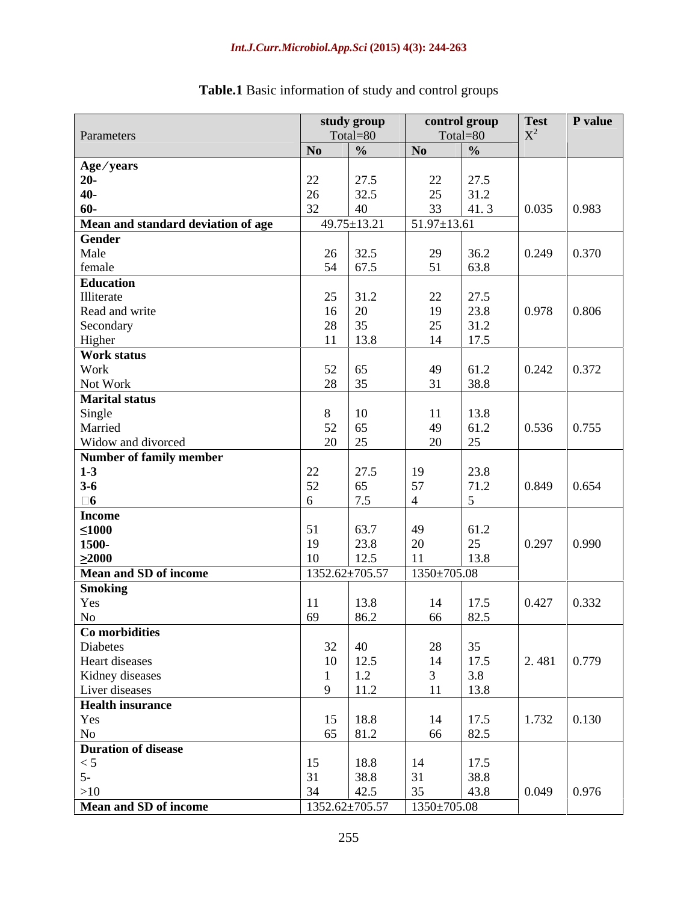| Total=80<br>Parameters<br>Total=80<br>No<br>$\mid \frac{0}{0} \rangle$<br>No<br>$\frac{0}{\alpha}$<br>22<br>$\boxed{27.5}$<br>22<br>27.5<br>25<br>31.2<br>32.5<br>$\gamma$<br>33<br>0.035<br>$ 41.3\rangle$<br>0.983<br>$51.97 \pm 13.61$<br>$49.75 \pm 13.21$<br>$26 \mid 32.5$<br>29<br>0.249<br>Male<br>$36.2$<br>63.8<br>54 67.5<br>51<br>$25 \mid 31.2$<br>22<br>27.5<br>0.978<br>23.8<br>19<br>$16 \,   \, 20$<br>0.806<br>25<br>31.2<br>28 35<br>17.5<br>14<br>$11 \quad 13.8$<br>$52 \mid 65$<br>49<br>61.2<br>28 35<br>31<br>38.8<br>11<br>13.8<br>Single<br>0.536<br>49<br>61.2<br>0.755<br>52<br>  65<br>20<br>$\gamma$<br>20 25<br>27.5<br>22<br>23.8<br>19<br>71.2<br>52<br>57<br>0.849<br>0.654<br>$3 - 6$<br>75<br>$\leq 1000$<br>63.7<br>61.2<br>49<br>0.297<br>1500-<br>25<br>23.8<br>20<br>0.990<br>$\geq 2000$<br>12.5<br>13.8<br>$1352.62 \pm 705.57$ $1350 \pm 705.08$<br>0.427<br>17.5<br>14<br>13.8<br>11<br>r es<br>82.5<br>862<br>66<br>69<br>$N_{\Omega}$<br>$\begin{array}{c cc}\n 28 & 35 \\  14 & 17.5 \\  3 & 3.8\n\end{array}$<br>$\begin{array}{c c}\n 32 & 40 \\  10 & 12.5 \\  1 & 1.2\n\end{array}$<br>9   11.2<br>$11 \t 13.8$<br>$\begin{array}{c c} 15 & 18.8 \\ 65 & 81.2 \end{array}$<br>$\begin{array}{c cc} 14 & 17.5 \\ 66 & 82.5 \end{array}$<br>$\leq 5$<br>$\begin{array}{r} 17.5 \\ 38.8 \\ 43.8 \end{array}$<br>15<br>$\begin{array}{c} 18.8 \\ 38.8 \\ 42.5 \end{array}$<br>14<br>$\begin{array}{ c c }\n31 \\ 35\n\end{array}$<br>31<br>34<br>0.049<br>0.976<br>$1350 \pm 705.08$<br>1352.62±705.57 | study group | control group | <b>Test</b> | $\mathbf P$ value |
|-------------------------------------------------------------------------------------------------------------------------------------------------------------------------------------------------------------------------------------------------------------------------------------------------------------------------------------------------------------------------------------------------------------------------------------------------------------------------------------------------------------------------------------------------------------------------------------------------------------------------------------------------------------------------------------------------------------------------------------------------------------------------------------------------------------------------------------------------------------------------------------------------------------------------------------------------------------------------------------------------------------------------------------------------------------------------------------------------------------------------------------------------------------------------------------------------------------------------------------------------------------------------------------------------------------------------------------------------------------------------------------------------------------------------------------------------------------------------------------------------------------------------------------------------------|-------------|---------------|-------------|-------------------|
| Age/years<br>0.370<br>$\begin{array}{ c c c c c } \hline 0.242 & 0.372 \ \hline \end{array}$<br>Work<br>Married<br><b>Number of family member</b><br>0.332<br>$2.481 \mid 0.779$<br>$1.732 \quad 0.130$                                                                                                                                                                                                                                                                                                                                                                                                                                                                                                                                                                                                                                                                                                                                                                                                                                                                                                                                                                                                                                                                                                                                                                                                                                                                                                                                               |             |               |             |                   |
| Mean and standard deviation of age<br><b>Gender</b><br>female<br>Education<br>Illiterate<br>Read and write<br>Secondary<br>Higher<br><b>Work status</b><br>Not Work<br><b>Marital status</b><br>Widow and divorced<br><b>Income</b><br><b>Mean and SD of income</b><br><b>Smoking</b><br>To<br>Co morbidities<br>Diabetes<br>Heart diseases<br>Kidney diseases<br>Liver diseases<br>Health insurance<br>Yes<br>No<br>Duration of disease<br>$\frac{>10}{\text{Mean and SD of income}}$                                                                                                                                                                                                                                                                                                                                                                                                                                                                                                                                                                                                                                                                                                                                                                                                                                                                                                                                                                                                                                                                |             |               |             |                   |
|                                                                                                                                                                                                                                                                                                                                                                                                                                                                                                                                                                                                                                                                                                                                                                                                                                                                                                                                                                                                                                                                                                                                                                                                                                                                                                                                                                                                                                                                                                                                                       |             |               |             |                   |
|                                                                                                                                                                                                                                                                                                                                                                                                                                                                                                                                                                                                                                                                                                                                                                                                                                                                                                                                                                                                                                                                                                                                                                                                                                                                                                                                                                                                                                                                                                                                                       |             |               |             |                   |
|                                                                                                                                                                                                                                                                                                                                                                                                                                                                                                                                                                                                                                                                                                                                                                                                                                                                                                                                                                                                                                                                                                                                                                                                                                                                                                                                                                                                                                                                                                                                                       |             |               |             |                   |
|                                                                                                                                                                                                                                                                                                                                                                                                                                                                                                                                                                                                                                                                                                                                                                                                                                                                                                                                                                                                                                                                                                                                                                                                                                                                                                                                                                                                                                                                                                                                                       |             |               |             |                   |
|                                                                                                                                                                                                                                                                                                                                                                                                                                                                                                                                                                                                                                                                                                                                                                                                                                                                                                                                                                                                                                                                                                                                                                                                                                                                                                                                                                                                                                                                                                                                                       |             |               |             |                   |
|                                                                                                                                                                                                                                                                                                                                                                                                                                                                                                                                                                                                                                                                                                                                                                                                                                                                                                                                                                                                                                                                                                                                                                                                                                                                                                                                                                                                                                                                                                                                                       |             |               |             |                   |
|                                                                                                                                                                                                                                                                                                                                                                                                                                                                                                                                                                                                                                                                                                                                                                                                                                                                                                                                                                                                                                                                                                                                                                                                                                                                                                                                                                                                                                                                                                                                                       |             |               |             |                   |
|                                                                                                                                                                                                                                                                                                                                                                                                                                                                                                                                                                                                                                                                                                                                                                                                                                                                                                                                                                                                                                                                                                                                                                                                                                                                                                                                                                                                                                                                                                                                                       |             |               |             |                   |
|                                                                                                                                                                                                                                                                                                                                                                                                                                                                                                                                                                                                                                                                                                                                                                                                                                                                                                                                                                                                                                                                                                                                                                                                                                                                                                                                                                                                                                                                                                                                                       |             |               |             |                   |
|                                                                                                                                                                                                                                                                                                                                                                                                                                                                                                                                                                                                                                                                                                                                                                                                                                                                                                                                                                                                                                                                                                                                                                                                                                                                                                                                                                                                                                                                                                                                                       |             |               |             |                   |
|                                                                                                                                                                                                                                                                                                                                                                                                                                                                                                                                                                                                                                                                                                                                                                                                                                                                                                                                                                                                                                                                                                                                                                                                                                                                                                                                                                                                                                                                                                                                                       |             |               |             |                   |
|                                                                                                                                                                                                                                                                                                                                                                                                                                                                                                                                                                                                                                                                                                                                                                                                                                                                                                                                                                                                                                                                                                                                                                                                                                                                                                                                                                                                                                                                                                                                                       |             |               |             |                   |
|                                                                                                                                                                                                                                                                                                                                                                                                                                                                                                                                                                                                                                                                                                                                                                                                                                                                                                                                                                                                                                                                                                                                                                                                                                                                                                                                                                                                                                                                                                                                                       |             |               |             |                   |
|                                                                                                                                                                                                                                                                                                                                                                                                                                                                                                                                                                                                                                                                                                                                                                                                                                                                                                                                                                                                                                                                                                                                                                                                                                                                                                                                                                                                                                                                                                                                                       |             |               |             |                   |
|                                                                                                                                                                                                                                                                                                                                                                                                                                                                                                                                                                                                                                                                                                                                                                                                                                                                                                                                                                                                                                                                                                                                                                                                                                                                                                                                                                                                                                                                                                                                                       |             |               |             |                   |
|                                                                                                                                                                                                                                                                                                                                                                                                                                                                                                                                                                                                                                                                                                                                                                                                                                                                                                                                                                                                                                                                                                                                                                                                                                                                                                                                                                                                                                                                                                                                                       |             |               |             |                   |
|                                                                                                                                                                                                                                                                                                                                                                                                                                                                                                                                                                                                                                                                                                                                                                                                                                                                                                                                                                                                                                                                                                                                                                                                                                                                                                                                                                                                                                                                                                                                                       |             |               |             |                   |
|                                                                                                                                                                                                                                                                                                                                                                                                                                                                                                                                                                                                                                                                                                                                                                                                                                                                                                                                                                                                                                                                                                                                                                                                                                                                                                                                                                                                                                                                                                                                                       |             |               |             |                   |
|                                                                                                                                                                                                                                                                                                                                                                                                                                                                                                                                                                                                                                                                                                                                                                                                                                                                                                                                                                                                                                                                                                                                                                                                                                                                                                                                                                                                                                                                                                                                                       |             |               |             |                   |
|                                                                                                                                                                                                                                                                                                                                                                                                                                                                                                                                                                                                                                                                                                                                                                                                                                                                                                                                                                                                                                                                                                                                                                                                                                                                                                                                                                                                                                                                                                                                                       |             |               |             |                   |
|                                                                                                                                                                                                                                                                                                                                                                                                                                                                                                                                                                                                                                                                                                                                                                                                                                                                                                                                                                                                                                                                                                                                                                                                                                                                                                                                                                                                                                                                                                                                                       |             |               |             |                   |
|                                                                                                                                                                                                                                                                                                                                                                                                                                                                                                                                                                                                                                                                                                                                                                                                                                                                                                                                                                                                                                                                                                                                                                                                                                                                                                                                                                                                                                                                                                                                                       |             |               |             |                   |
|                                                                                                                                                                                                                                                                                                                                                                                                                                                                                                                                                                                                                                                                                                                                                                                                                                                                                                                                                                                                                                                                                                                                                                                                                                                                                                                                                                                                                                                                                                                                                       |             |               |             |                   |
|                                                                                                                                                                                                                                                                                                                                                                                                                                                                                                                                                                                                                                                                                                                                                                                                                                                                                                                                                                                                                                                                                                                                                                                                                                                                                                                                                                                                                                                                                                                                                       |             |               |             |                   |
|                                                                                                                                                                                                                                                                                                                                                                                                                                                                                                                                                                                                                                                                                                                                                                                                                                                                                                                                                                                                                                                                                                                                                                                                                                                                                                                                                                                                                                                                                                                                                       |             |               |             |                   |
|                                                                                                                                                                                                                                                                                                                                                                                                                                                                                                                                                                                                                                                                                                                                                                                                                                                                                                                                                                                                                                                                                                                                                                                                                                                                                                                                                                                                                                                                                                                                                       |             |               |             |                   |
|                                                                                                                                                                                                                                                                                                                                                                                                                                                                                                                                                                                                                                                                                                                                                                                                                                                                                                                                                                                                                                                                                                                                                                                                                                                                                                                                                                                                                                                                                                                                                       |             |               |             |                   |
|                                                                                                                                                                                                                                                                                                                                                                                                                                                                                                                                                                                                                                                                                                                                                                                                                                                                                                                                                                                                                                                                                                                                                                                                                                                                                                                                                                                                                                                                                                                                                       |             |               |             |                   |
|                                                                                                                                                                                                                                                                                                                                                                                                                                                                                                                                                                                                                                                                                                                                                                                                                                                                                                                                                                                                                                                                                                                                                                                                                                                                                                                                                                                                                                                                                                                                                       |             |               |             |                   |
|                                                                                                                                                                                                                                                                                                                                                                                                                                                                                                                                                                                                                                                                                                                                                                                                                                                                                                                                                                                                                                                                                                                                                                                                                                                                                                                                                                                                                                                                                                                                                       |             |               |             |                   |
|                                                                                                                                                                                                                                                                                                                                                                                                                                                                                                                                                                                                                                                                                                                                                                                                                                                                                                                                                                                                                                                                                                                                                                                                                                                                                                                                                                                                                                                                                                                                                       |             |               |             |                   |
|                                                                                                                                                                                                                                                                                                                                                                                                                                                                                                                                                                                                                                                                                                                                                                                                                                                                                                                                                                                                                                                                                                                                                                                                                                                                                                                                                                                                                                                                                                                                                       |             |               |             |                   |
|                                                                                                                                                                                                                                                                                                                                                                                                                                                                                                                                                                                                                                                                                                                                                                                                                                                                                                                                                                                                                                                                                                                                                                                                                                                                                                                                                                                                                                                                                                                                                       |             |               |             |                   |
|                                                                                                                                                                                                                                                                                                                                                                                                                                                                                                                                                                                                                                                                                                                                                                                                                                                                                                                                                                                                                                                                                                                                                                                                                                                                                                                                                                                                                                                                                                                                                       |             |               |             |                   |
|                                                                                                                                                                                                                                                                                                                                                                                                                                                                                                                                                                                                                                                                                                                                                                                                                                                                                                                                                                                                                                                                                                                                                                                                                                                                                                                                                                                                                                                                                                                                                       |             |               |             |                   |
|                                                                                                                                                                                                                                                                                                                                                                                                                                                                                                                                                                                                                                                                                                                                                                                                                                                                                                                                                                                                                                                                                                                                                                                                                                                                                                                                                                                                                                                                                                                                                       |             |               |             |                   |
|                                                                                                                                                                                                                                                                                                                                                                                                                                                                                                                                                                                                                                                                                                                                                                                                                                                                                                                                                                                                                                                                                                                                                                                                                                                                                                                                                                                                                                                                                                                                                       |             |               |             |                   |
|                                                                                                                                                                                                                                                                                                                                                                                                                                                                                                                                                                                                                                                                                                                                                                                                                                                                                                                                                                                                                                                                                                                                                                                                                                                                                                                                                                                                                                                                                                                                                       |             |               |             |                   |
|                                                                                                                                                                                                                                                                                                                                                                                                                                                                                                                                                                                                                                                                                                                                                                                                                                                                                                                                                                                                                                                                                                                                                                                                                                                                                                                                                                                                                                                                                                                                                       |             |               |             |                   |
|                                                                                                                                                                                                                                                                                                                                                                                                                                                                                                                                                                                                                                                                                                                                                                                                                                                                                                                                                                                                                                                                                                                                                                                                                                                                                                                                                                                                                                                                                                                                                       |             |               |             |                   |
|                                                                                                                                                                                                                                                                                                                                                                                                                                                                                                                                                                                                                                                                                                                                                                                                                                                                                                                                                                                                                                                                                                                                                                                                                                                                                                                                                                                                                                                                                                                                                       |             |               |             |                   |
|                                                                                                                                                                                                                                                                                                                                                                                                                                                                                                                                                                                                                                                                                                                                                                                                                                                                                                                                                                                                                                                                                                                                                                                                                                                                                                                                                                                                                                                                                                                                                       |             |               |             |                   |
|                                                                                                                                                                                                                                                                                                                                                                                                                                                                                                                                                                                                                                                                                                                                                                                                                                                                                                                                                                                                                                                                                                                                                                                                                                                                                                                                                                                                                                                                                                                                                       |             |               |             |                   |

# **Table.1** Basic information of study and control groups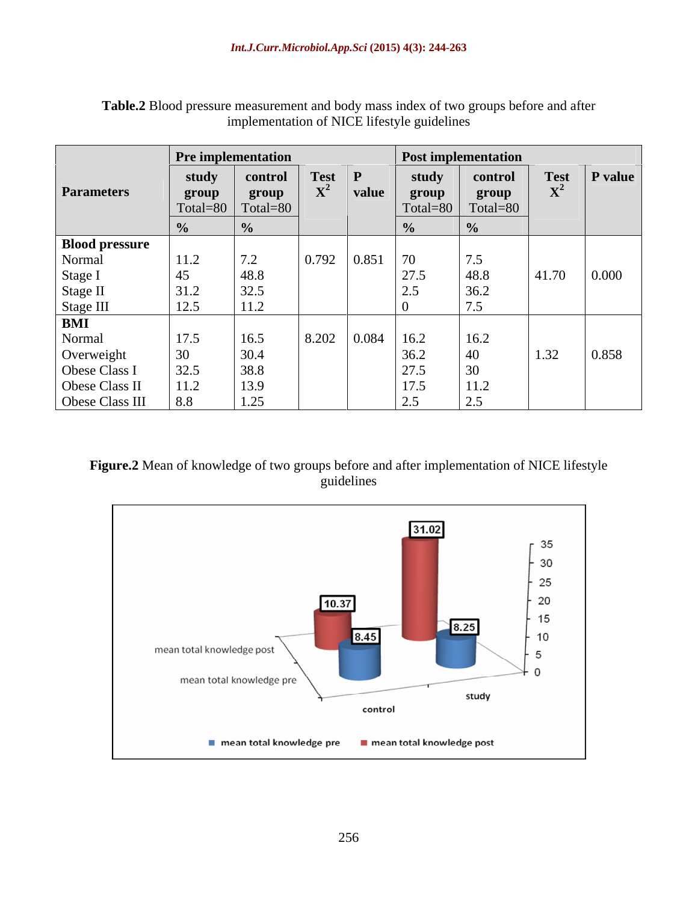|                       |                    | <b>Pre implementation</b>                 |                                                                        |                                            | <b>Post implementation</b>                       |              |                   |
|-----------------------|--------------------|-------------------------------------------|------------------------------------------------------------------------|--------------------------------------------|--------------------------------------------------|--------------|-------------------|
|                       | study              |                                           | control Test                                                           | study                                      | control                                          | <b>Test</b>  | $\mathbf P$ value |
| <b>Parameters</b>     | group              | group                                     |                                                                        | group<br>value                             | group                                            |              |                   |
|                       |                    | $\vert$ Total=80 $\vert$ Total=80 $\vert$ |                                                                        |                                            | $\sqrt{ \text{Total}=80}$ $\text{Total}=80$      |              |                   |
|                       |                    | $\frac{9}{6}$                             |                                                                        | $\frac{0}{0}$                              |                                                  |              |                   |
| <b>Blood pressure</b> |                    |                                           |                                                                        |                                            |                                                  |              |                   |
| Normal                | 11.2               | 7.2                                       | $\begin{array}{ c c c c c } \hline 0.792 & 0.851 \\\hline \end{array}$ | 70                                         | $\sqrt{7.5}$                                     |              |                   |
| Stage I               | 45                 | 48.8                                      |                                                                        | 27.5                                       | $ 48.8\rangle$                                   | 41.70        | 0.000             |
| Stage II              | 31.2               | 32.5                                      |                                                                        | $\vert 2.5 \vert$                          | 36.2                                             |              |                   |
| Stage III<br>BMI      | $1 \cap r$<br>12.J | $\vert$ 11.2                              |                                                                        |                                            | $ -$                                             |              |                   |
|                       |                    |                                           |                                                                        |                                            |                                                  |              |                   |
| Normal                | 17.5               | 16.5                                      |                                                                        | $\vert 8.202 \vert 0.084 \vert 16.2 \vert$ | $\vert$ 16.2                                     |              |                   |
| Overweight            |                    | 30.4                                      |                                                                        | 36.2                                       | $\vert$ 40                                       | $\vert$ 1.32 | 0.858             |
| Obese Class I         | 32.5               | 38.8                                      |                                                                        | $\vert$ 27.5                               | $\vert 30 \vert$                                 |              |                   |
| Obese Class II        | 11.2               | 13.9                                      |                                                                        | 17.5                                       | 11.2                                             |              |                   |
| Obese Class III       | 8.8                | $\vert$ 1.25                              |                                                                        | 2.5                                        | $\sqrt{2}$<br>$\vert \Delta . \mathcal{S} \vert$ |              |                   |

**Table.2** Blood pressure measurement and body mass index of two groups before and after implementation of NICE lifestyle guidelines

## **Figure.2** Mean of knowledge of two groups before and after implementation of NICE lifestyle guidelines

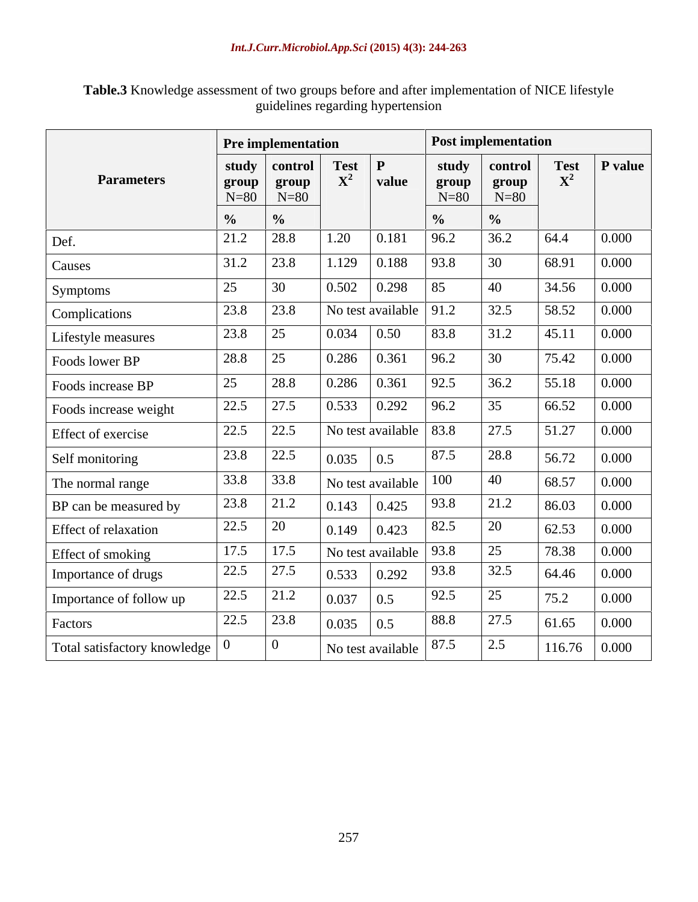**Table.3** Knowledge assessment of two groups before and after implementation of NICE lifestyle guidelines regarding hypertension

|                                       |                                                                    | <b>Pre implementation</b>                                                                                                       |                                                                        |                                                                                     |                 | <b>Post implementation</b> |                                                                        |                     |
|---------------------------------------|--------------------------------------------------------------------|---------------------------------------------------------------------------------------------------------------------------------|------------------------------------------------------------------------|-------------------------------------------------------------------------------------|-----------------|----------------------------|------------------------------------------------------------------------|---------------------|
|                                       |                                                                    | $\begin{array}{c c c c c} \hline \text{return} & \text{Test} & P \\ \hline \text{trally} & \text{controll} & X^2 & \end{array}$ |                                                                        |                                                                                     |                 | study control              | $\operatorname*{Test}_{X^2}$                                           | $\mathbf P$ value   |
| <b>Parameters</b>                     | $N=80$                                                             | $N=80$                                                                                                                          |                                                                        |                                                                                     | group<br>$N=80$ | group<br>$N=80$            |                                                                        |                     |
|                                       |                                                                    | $\frac{9}{6}$                                                                                                                   |                                                                        |                                                                                     | $\frac{6}{10}$  | $\frac{6}{10}$             |                                                                        |                     |
| Def.                                  | $\frac{1}{2}$                                                      | $\vert 21.2 \vert 28.8 \vert$                                                                                                   | $\sqrt{1.20}$ 0.181                                                    |                                                                                     | 96.2            | 36.2                       | 64.4                                                                   | 0.000               |
| Causes                                |                                                                    | $31.2$ 23.8                                                                                                                     |                                                                        | 1.129   0.188   93.8                                                                |                 | 30                         | 68.91                                                                  | $\vert 0.000 \vert$ |
|                                       | $\begin{array}{ c c c } \hline 25 & 30 \\ \hline \end{array}$      |                                                                                                                                 |                                                                        | $\begin{array}{ c c c c c c c c c } \hline 0.502 & 0.298 & 85 \ \hline \end{array}$ |                 | 40                         |                                                                        | $34.56$ 0.000       |
| Symptoms                              |                                                                    | $\begin{array}{ c c c c c } \hline 23.8 & \hline \end{array}$                                                                   |                                                                        | No test available $\vert$ 91.2                                                      |                 | 32.5                       | $58.52 \quad 0.000$                                                    |                     |
| Complications                         | $\begin{array}{ c c c c c } \hline 23.8 & 25 \\\hline \end{array}$ |                                                                                                                                 |                                                                        |                                                                                     |                 |                            |                                                                        |                     |
| Lifestyle measures                    |                                                                    |                                                                                                                                 | $\vert 0.034 \vert \vert 0.50$                                         |                                                                                     | 83.8            | 31.2                       | $\vert 45.11 \vert 0.000 \vert$                                        |                     |
| Foods lower BP                        | $28.8$ 25                                                          |                                                                                                                                 | $\boxed{0.286 \quad 0.361}$                                            |                                                                                     | 96.2            | 30                         |                                                                        | 75.42 0.000         |
| Foods increase BP                     | 25                                                                 | 28.8                                                                                                                            | $\boxed{0.286}$ 0.361                                                  |                                                                                     | 92.5            | 36.2                       | $55.18$ 0.000                                                          |                     |
| Foods increase weight                 |                                                                    | $\begin{array}{ c c c c c } \hline 22.5 & 27.5 \\ \hline \end{array}$                                                           |                                                                        | $\begin{array}{ c c c c c c c c } \hline 0.533 & 0.292 & 96.2 \ \hline \end{array}$ |                 | 35                         | $66.52 \quad 0.000$                                                    |                     |
| Effect of exercise                    |                                                                    | $\begin{array}{ c c c c c } \hline 22.5 & 22.5 \\ \hline \end{array}$                                                           |                                                                        | No test available   83.8                                                            |                 | 27.5                       | $51.27 \quad 0.000$                                                    |                     |
| Self monitoring                       |                                                                    | $\begin{array}{ c c c c c } \hline 23.8 & 22.5 \\ \hline \end{array}$                                                           | $\begin{array}{ c c c c c } \hline 0.035 & 0.5 \ \hline \end{array}$   |                                                                                     | 87.5            | 28.8                       | 56.72                                                                  | $\vert 0.000 \vert$ |
| The normal range                      |                                                                    | $33.8$ 33.8                                                                                                                     |                                                                        | No test available                                                                   | 100             |                            | 68.57                                                                  | $\vert 0.000 \vert$ |
| BP can be measured by                 |                                                                    | $\begin{array}{ c c c c c } \hline 23.8 & 21.2 \hline \end{array}$                                                              | $\begin{array}{ c c c c c } \hline 0.143 & 0.425 \\\hline \end{array}$ |                                                                                     | 93.8            | 21.2                       | 86.03                                                                  | 0.000               |
| Effect of relaxation                  | $\begin{array}{ c c c c c } \hline 22.5 & \hline \end{array}$ 20   |                                                                                                                                 | $\begin{array}{ c c c c c } \hline 0.149 & 0.423 \ \hline \end{array}$ |                                                                                     | 82.5            |                            | 62.53                                                                  | 0.000               |
| Effect of smoking                     |                                                                    | $\begin{array}{ c c c c c } \hline 17.5 & 17.5 \ \hline \end{array}$                                                            |                                                                        | No test available                                                                   | 93.8            |                            |                                                                        | 78.38 0.000         |
| Importance of drugs                   |                                                                    | $\begin{array}{ c c c c c } \hline 22.5 & 27.5 \\ \hline \end{array}$                                                           | $\begin{array}{ c c c c c } \hline 0.533 & 0.292 \hline \end{array}$   |                                                                                     | 93.8            | 32.5                       | $\begin{array}{ l c c c c } \hline 64.46 & 0.000 \\\hline \end{array}$ |                     |
| Importance of follow up               |                                                                    | $22.5$ 21.2                                                                                                                     | 0.037                                                                  | 0.5                                                                                 | 92.5            | 25                         | 75.2                                                                   | 0.000               |
| Factors                               |                                                                    | $\begin{array}{ c c c c c } \hline 22.5 & 23.8 \ \hline \end{array}$                                                            | $\begin{array}{ c c c c c } \hline 0.035 & 0.5 \ \hline \end{array}$   |                                                                                     | 88.8            | 27.5                       | 61.65                                                                  | 0.000               |
|                                       |                                                                    |                                                                                                                                 |                                                                        |                                                                                     |                 |                            |                                                                        |                     |
| Total satisfactory knowledge $\int 0$ |                                                                    |                                                                                                                                 |                                                                        | No test available   87.5                                                            |                 | 2.5                        | $116.76$ 0.000                                                         |                     |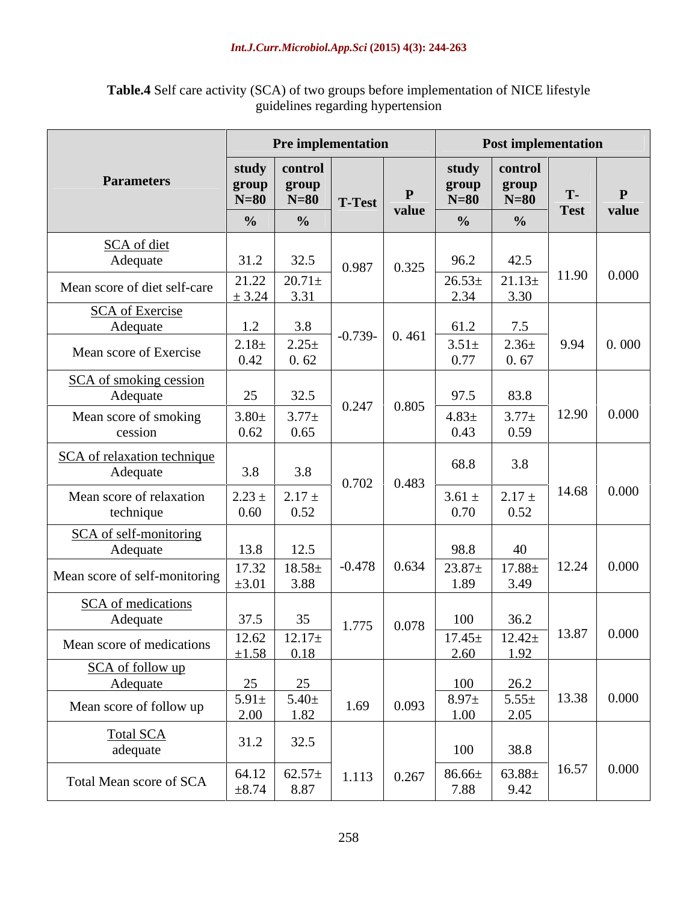|                                    | Pre implementation                                                                                              | <b>Post implementation</b>                                                                         |       |
|------------------------------------|-----------------------------------------------------------------------------------------------------------------|----------------------------------------------------------------------------------------------------|-------|
|                                    | study   control                                                                                                 | study control                                                                                      |       |
| <b>Parameters</b>                  | group $\begin{array}{ c c } \hline \text{group} & \text{group} \\ \hline \text{N=80} & \text{N=80} \end{array}$ | group<br>group<br>T-<br>$N=80$                                                                     |       |
|                                    | $T-Test$<br>value<br>$\frac{0}{0}$<br>$\frac{0}{0}$                                                             | $N=80$<br><b>Test</b><br>$\frac{0}{0}$                                                             | value |
| SCA of diet                        |                                                                                                                 |                                                                                                    |       |
| Adequate                           | 32.5<br>31.2<br>$0.987$ 0.325                                                                                   | 42.5<br>96.2                                                                                       |       |
| Mean score of diet self-care       | $21.22 \overline{)20.71\pm}$<br>$\pm 3.24$ 3.31                                                                 | $11.90 \mid 0.000$<br>$\frac{26.53\pm}{21.13\pm}$<br>3.30<br>2.34                                  |       |
| <b>SCA</b> of Exercise             |                                                                                                                 |                                                                                                    |       |
| Adequate                           | 3.8<br>1.2<br>$-0.739 - 0.461$                                                                                  | 7.5<br>61.2<br>$2.36 \pm$<br>$9.94 \, \vert \, 0.000 \, \vert$<br>$3.51 \pm$                       |       |
| Mean score of Exercise             | $\begin{array}{ c c c }\n\hline\n2.18 \pm & 2.25 \pm 0.62 \\ \hline\n0.42 & 0.62\n\end{array}$                  | 0.77<br>0.67                                                                                       |       |
| SCA of smoking cession             |                                                                                                                 |                                                                                                    |       |
| Adequate                           | 32.5<br>25<br>$0.247$ 0.805<br>$3.80 \pm$<br>$3.77 +$                                                           | 83.8<br>97.5<br>$3.77 \pm$<br>$12.90 \cdot 0.000$<br>$4.83 \pm$                                    |       |
| Mean score of smoking<br>cession   | $\Big  0.65$<br>0.62                                                                                            | 0.43<br>0.59                                                                                       |       |
| SCA of relaxation technique        |                                                                                                                 | 68.8<br>3.8                                                                                        |       |
| Adequate                           | 3.8<br>3.8<br>$0.702$ 0.483                                                                                     |                                                                                                    |       |
| Mean score of relaxation           | $2.23 \pm 2.17 \pm$                                                                                             | $14.68$ 0.000<br>$3.61 \pm$<br>2.17 $\pm$                                                          |       |
| technique                          | $0.60 \quad 0.52$                                                                                               | 0.52<br>0.70                                                                                       |       |
| SCA of self-monitoring<br>Adequate | 13.8<br>12.5                                                                                                    | 98.8<br>40                                                                                         |       |
| Mean score of self-monitoring      | $\begin{array}{ c c c c }\n\hline\n17.32 & 18.58 \pm 3.01 & 3.88\n\end{array}$                                  | $-0.478$ 0.634 23.87 $\pm$ 17.88 $\pm$<br>$\begin{bmatrix} 12.24 & 0.000 \end{bmatrix}$            |       |
| <b>SCA</b> of medications          |                                                                                                                 | 1.89<br>3.49                                                                                       |       |
| Adequate                           | 35<br>37.5<br>$1.775$ 0.078                                                                                     | 36.2<br>100                                                                                        |       |
| Mean score of medications          | $12.62$ $12.17\pm$                                                                                              | $\begin{array}{ c c c c c c c c } \hline 17.45 \pm & 12.42 \pm & 13.87 & 0.000 \hline \end{array}$ |       |
|                                    | $\pm 1.58$ 0.18                                                                                                 | $2.60$ 1.92                                                                                        |       |
| SCA of follow up<br>Adequate       | 25                                                                                                              | 100<br>26.2<br>$\begin{bmatrix} 13.38 & 0.000 \end{bmatrix}$                                       |       |
| Mean score of follow up            | $\begin{array}{ c c } \hline 5.91 \pm & 5.40 \pm \\ 2.00 & 1.82 \hline \end{array}$<br>$1.69 \qquad 0.093$      | $5.55\pm$<br>2.05<br>$8.97 \pm$<br>1.00                                                            |       |
| Total SCA<br>adequate              | 31.2<br>32.5                                                                                                    |                                                                                                    |       |
|                                    |                                                                                                                 | 100<br>38.8                                                                                        |       |
| Total Mean score of SCA            | $\begin{array}{ c c c }\n64.12 & 62.57 \pm 8.74 & 8.87\n\end{array}$<br>$1.113 \t 0.267$                        | $16.57$ 0.000<br>$63.88 \pm 9.42$<br>$86.66\pm 7.88$                                               |       |

**Table.4** Self care activity (SCA) of two groups before implementation of NICE lifestyle guidelines regarding hypertension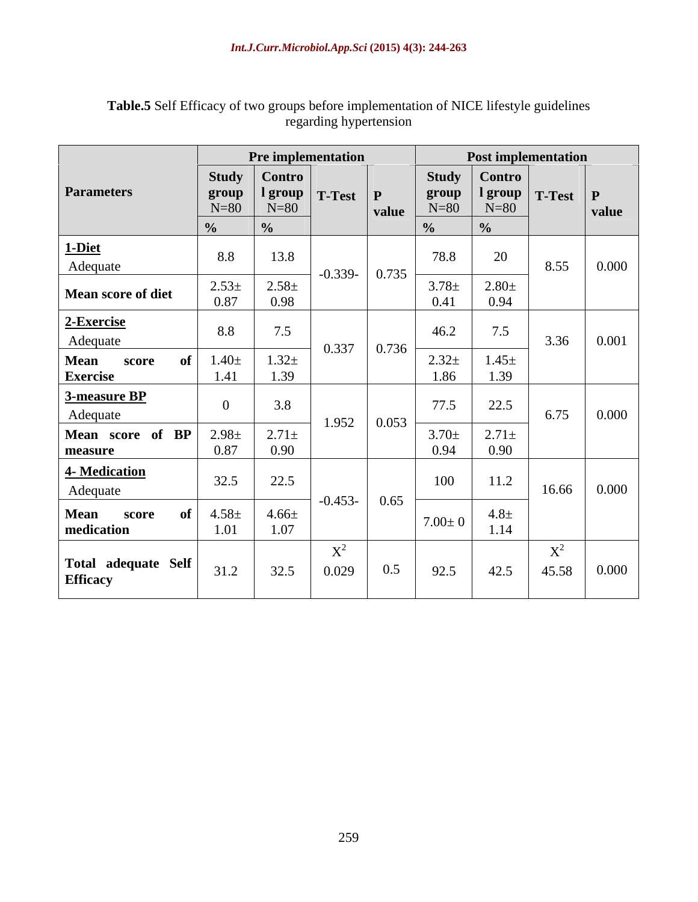|                                        |                   | Pre implementation       |                                                                       |                                                                | <b>Post implementation</b>                       |                                                                      |
|----------------------------------------|-------------------|--------------------------|-----------------------------------------------------------------------|----------------------------------------------------------------|--------------------------------------------------|----------------------------------------------------------------------|
|                                        |                   | Study Contro             |                                                                       |                                                                | Study $\vert$ Contro                             |                                                                      |
| <b>Parameters</b>                      | group<br>$N=80$   | $N=80$                   | $\vert$ 1 group $\vert$ T-Test $\vert$ P<br>$\vert$ value             | $\begin{array}{c}\n\textbf{group} \\ \text{N=80}\n\end{array}$ | $\vert$ 1 group $\vert$ T-Test $\vert$<br>$N=80$ | value                                                                |
|                                        |                   |                          |                                                                       |                                                                |                                                  |                                                                      |
| 1-Diet                                 |                   |                          |                                                                       |                                                                |                                                  |                                                                      |
| Adequate                               | 8.8               | 13.8                     | $\vert$ -0.339- $\vert$ 0.735 $\vert$                                 | 78.8                                                           | 20                                               | $8.55$ 0.000                                                         |
| Mean score of diet                     | $2.53 \pm 0.87$   | $2.58 \pm 0.98$          |                                                                       | $3.78 \pm$                                                     | $2.80 \pm$                                       |                                                                      |
|                                        |                   |                          |                                                                       | 0.41                                                           | 0.94                                             |                                                                      |
| 2-Exercise                             | 8.8               | 7.5                      |                                                                       | 46.2                                                           | 7.5                                              |                                                                      |
| Adequate                               |                   |                          |                                                                       |                                                                |                                                  | $3.36$ 0.001                                                         |
| <b>Mean</b><br>score<br>Exercise       | $1.40\pm$<br>1.41 | $1.32 +$<br>$\vert$ 1.39 |                                                                       | $2.32 +$<br>1.86                                               | $1.45 \pm 1.39$                                  |                                                                      |
| 3-measure BP                           |                   |                          |                                                                       |                                                                |                                                  |                                                                      |
| Adequate                               | $\overline{0}$    | 3.8                      |                                                                       | 77.5                                                           | 22.5                                             | $6.75$ 0.000                                                         |
| Mean score of BP                       | $2.98 \pm$        | $2.71 \pm$               | $1.952 \mid 0.053 \mid$                                               | $3.70 \pm$                                                     | $2.71 \pm$                                       |                                                                      |
| measure                                | 0.87              | $\boxed{0.90}$           |                                                                       | 0.94                                                           | 0.90                                             |                                                                      |
| <b>4- Medication</b>                   | 32.5              | 22.5                     |                                                                       | 100                                                            |                                                  |                                                                      |
| Adequate                               |                   |                          |                                                                       |                                                                | 11.2                                             | $16.66$ 0.000                                                        |
| Mean score                             | $4.58\pm$<br>-01  | $\vert$ 4.66±            | $\vert$ -0.453- $\vert$ 0.65                                          |                                                                | $4.8 \pm$                                        |                                                                      |
| medication                             | 1.01              | 1.07                     |                                                                       | $7.00 \pm 0$                                                   | 1.14                                             |                                                                      |
|                                        |                   |                          | $X^2$                                                                 |                                                                | $\mathbf{v}^2$                                   |                                                                      |
| Total adequate Self<br><b>Efficacy</b> | 31.2              | 32.5                     | 0.5<br>$\begin{array}{ c c c c c } \hline 0.029 & \hline \end{array}$ | 92.5                                                           | 42.5                                             | $\begin{array}{ c c c c c } \hline 45.58 & 0.000 \hline \end{array}$ |
|                                        |                   |                          |                                                                       |                                                                |                                                  |                                                                      |

## **Table.5** Self Efficacy of two groups before implementation of NICE lifestyle guidelines regarding hypertension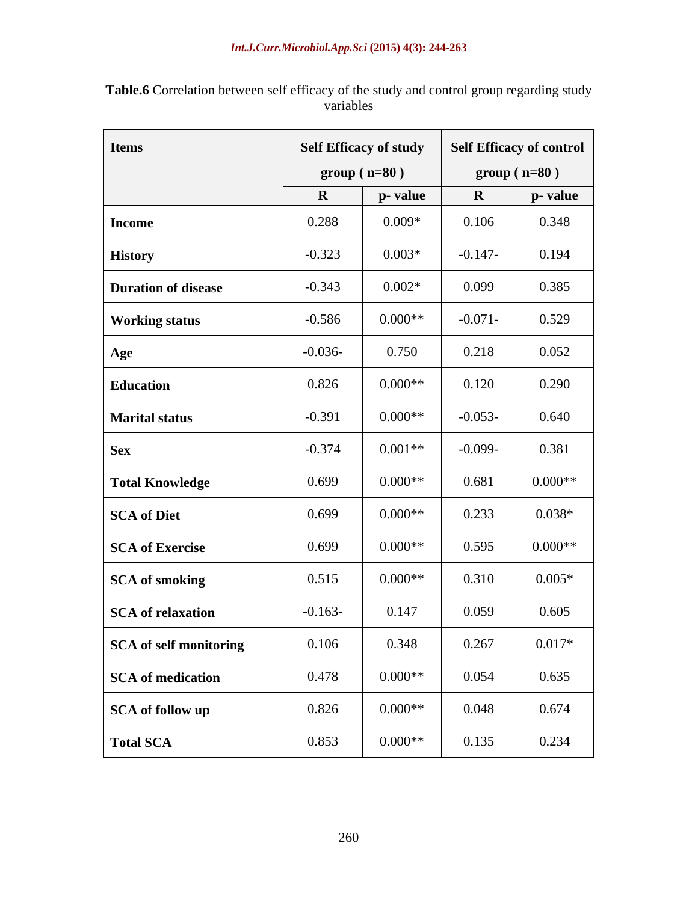| <b>Items</b>               |           | <b>Self Efficacy of study</b><br>$group(n=80)$ |             | <b>Self Efficacy of control</b><br>$group(n=80)$ |
|----------------------------|-----------|------------------------------------------------|-------------|--------------------------------------------------|
|                            |           | p- value                                       | $\mathbf R$ | p- value                                         |
| <b>Income</b>              | 0.288     | $0.009*$                                       | 0.106       | 0.348                                            |
| <b>History</b>             | $-0.323$  | $0.003*$                                       | $-0.147-$   | 0.194                                            |
| <b>Duration of disease</b> | $-0.343$  | $0.002*$                                       | 0.099       | 0.385                                            |
| <b>Working status</b>      | $-0.586$  | $0.000**$                                      | $-0.071-$   | 0.529                                            |
| Age                        | $-0.036-$ | 0.750                                          | 0.218       | 0.052                                            |
| <b>Education</b>           | 0.826     | $0.000**$                                      | 0.120       | 0.290                                            |
| <b>Marital status</b>      | $-0.391$  | $0.000**$                                      | $-0.053-$   | 0.640                                            |
| <b>Sex</b>                 | $-0.374$  | $0.001**$                                      | $-0.099-$   | 0.381                                            |
| <b>Total Knowledge</b>     | 0.699     | $0.000**$                                      | 0.681       | $0.000**$                                        |
| SCA of Diet                | 0.699     | $0.000**$                                      | 0.233       | $0.038*$                                         |
| SCA of Exercise            | 0.699     | $0.000**$                                      | 0.595       | $0.000**$                                        |
| SCA of smoking             | 0.515     | $0.000**$                                      | 0.310       | $0.005*$                                         |
| SCA of relaxation          | $-0.163-$ | 0.147                                          | 0.059       | 0.605                                            |
| SCA of self monitoring     | 0.106     | 0.348                                          | 0.267       | $0.017*$                                         |
| SCA of medication          | 0.478     | $0.000**$                                      | 0.054       | 0.635                                            |
| SCA of follow up           | 0.826     | $0.000**$                                      | 0.048       | 0.674                                            |
| <b>Total SCA</b>           | 0.853     | $0.000**$                                      | 0.135       | 0.234                                            |

**Table.6** Correlation between self efficacy of the study and control group regarding study variables variables **variables**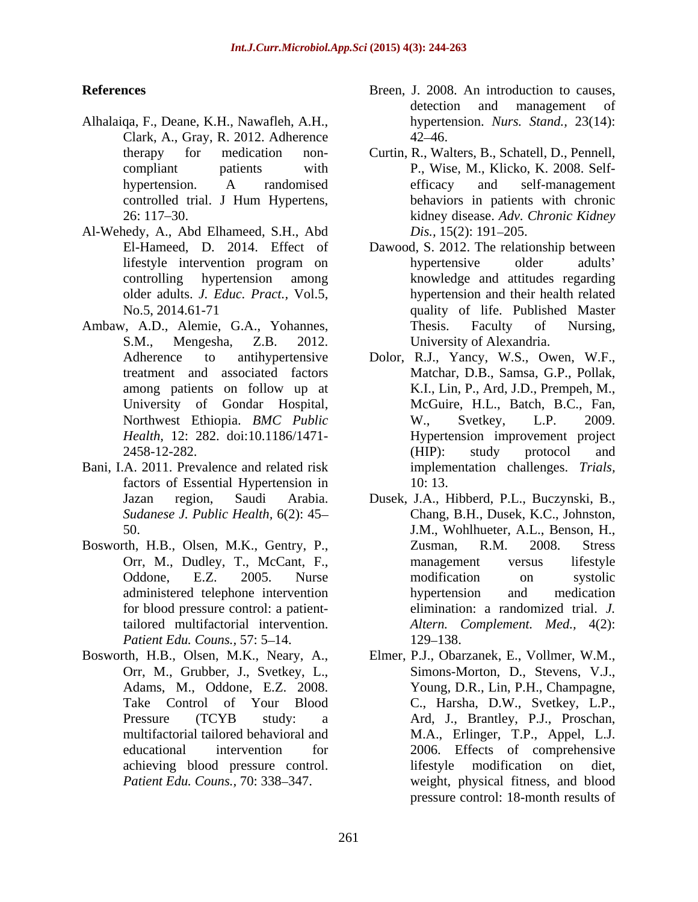- Alhalaiqa, F., Deane, K.H., Nawafleh, A.H., Clark, A., Gray, R. 2012. Adherence
- Al-Wehedy, A., Abd Elhameed, S.H., Abd  $Dis., 15(2): 191-205.$
- 
- Bani, I.A. 2011. Prevalence and related risk factors of Essential Hypertension in  $10:13$ .
- Bosworth, H.B., Olsen, M.K., Gentry, P., for blood pressure control: a patient-*Patient Edu. Couns.,* 57: 5–14. 129–138.
- Orr, M., Grubber, J., Svetkey, L.,
- **References** Breen, J. 2008. An introduction to causes, detection and management of hypertension. *Nurs. Stand.,* 23(14):  $42 - 46.$ 
	- therapy for medication non- Curtin, R., Walters, B., Schatell, D., Pennell, compliant patients with P., Wise, M., Klicko, K. 2008. Self hypertension. A randomised controlled trial. J Hum Hypertens, 26: 117 30. kidney disease. *Adv. Chronic Kidney* efficacy and self-management behaviors in patients with chronic *Dis.,* 15(2): 191–205.
- El-Hameed, D. 2014. Effect of Dawood, S. 2012. The relationship between lifestyle intervention program on controlling hypertension among knowledge and attitudes regarding older adults. *J. Educ. Pract.*, Vol.5, hypertension and their health related No.5, 2014.61-71 quality of life. Published Master Ambaw, A.D., Alemie, G.A., Yohannes, Thesis. Faculty of Nursing, S.M., Mengesha, Z.B. 2012. University of Alexandria. hypertensive older adults' Thesis. Faculty of Nursing,
	- Adherence to antihypertensive Dolor, R.J., Yancy, W.S., Owen, W.F., treatment and associated factors Matchar, D.B., Samsa, G.P., Pollak, among patients on follow up at K.I., Lin, P., Ard, J.D., Prempeh, M., University of Gondar Hospital, McGuire, H.L., Batch, B.C., Fan, Northwest Ethiopia. *BMC Public* W., Svetkey, L.P. 2009.<br> *Health*. 12: 282. doi:10.1186/1471- Hypertension improvement project *Health,* 12: 282. doi:10.1186/1471- Hypertension improvement project 2458-12-282. W., Svetkey, L.P. 2009. (HIP): study protocol and implementation challenges. *Trials,* 10: 13.
	- Jazan region, Saudi Arabia. Dusek, J.A., Hibberd, P.L., Buczynski, B., *Sudanese J. Public Health,* 6(2): 45 Chang, B.H., Dusek, K.C., Johnston, 50. J.M., Wohlhueter, A.L., Benson, H., Orr, M., Dudley, T., McCant, F., a management versus lifestyle Oddone. E.Z. 2005. Nurse modification on systolic Oddone, E.Z. 2005. Nurse administered telephone intervention tailored multifactorial intervention. *Altern. Complement. Med.,* 4(2): Zusman, R.M. 2008. Stress management versus lifestyle modification on systolic hypertension and medication elimination: a randomized trial. *J.*  129–138.
- Bosworth, H.B., Olsen, M.K., Neary, A., Elmer, P.J., Obarzanek, E., Vollmer, W.M., Adams, M., Oddone, E.Z. 2008. Young, D.R., Lin, P.H., Champagne, Take Control of Your Blood C., Harsha, D.W., Svetkey, L.P., Pressure (TCYB study: a Ard, J., Brantley, P.J., Proschan, multifactorial tailored behavioral and M.A., Erlinger, T.P., Appel, L.J. educational intervention for 2006. Effects of comprehensive achieving blood pressure control. Patient Edu. Couns., 70: 338–347. The weight, physical fitness, and blood Simons-Morton, D., Stevens, V.J., lifestyle modification on diet, pressure control: 18-month results of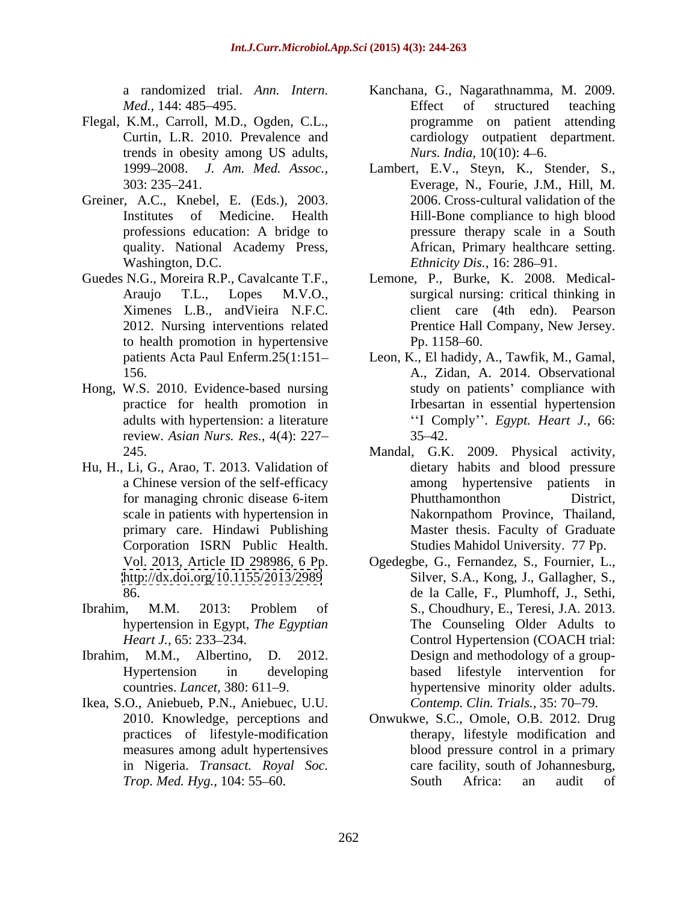- Flegal, K.M., Carroll, M.D., Ogden, C.L., trends in obesity among US adults, *Nurs. India*, 10(10): 4–6.
- Greiner, A.C., Knebel, E. (Eds.), 2003. quality. National Academy Press, Washington, D.C. Ethnicity Dis., 16: 286–91.
- to health promotion in hypertensive Pp. 1158–60.
- Hong, W.S. 2010. Evidence-based nursing review. *Asian Nurs. Res.,* 4(4): 227
- Hu, H., Li, G., Arao, T. 2013. Validation of <http://dx.doi.org/10.1155/2013/2989>
- 
- 
- Ikea, S.O., Aniebueb, P.N., Aniebuec, U.U.
- a randomized trial. *Ann. Intern.* Kanchana, G., Nagarathnamma, M. 2009. *Med.*, 144: 485–495. The settlem and the settlem and the settlem of structured teaching Curtin, L.R. 2010. Prevalence and cardiology outpatient department. Effect of structured teaching programme on patient attending *Nurs. India,* 10(10): 4–6.
- 1999 2008. *J. Am. Med. Assoc.,* Lambert, E.V., Steyn, K., Stender, S., 303: 235 241. Everage, N., Fourie, J.M., Hill, M. Institutes of Medicine. Health Hill-Bone compliance to high blood professions education: A bridge to pressure therapy scale in a South 2006. Cross-cultural validation of the African, Primary healthcare setting. *Ethnicity Dis.,* 16: 286–91.
- Guedes N.G., Moreira R.P., Cavalcante T.F., Lemone, P., Burke, K. 2008. Medical- Araujo T.L., Lopes M.V.O., surgical nursing: critical thinking in Ximenes L.B., andVieira N.F.C. client care (4th edn). Pearson 2012. Nursing interventions related Prentice Hall Company, New Jersey. Prentice Hall Company, New Jersey. Pp. 1158–60.
	- patients Acta Paul Enferm.25(1:151 Leon, K., El hadidy, A.,Tawfik, M., Gamal, 156. A., Zidan, A. 2014. Observational practice for health promotion in Irbesartan in essential hypertension adults with hypertension: a literature **Example 1.4 Comply**". *Egypt. Heart J.*, 66: study on patients' compliance with  $35 - 42.$
	- 245. Mandal, G.K. 2009. Physical activity, a Chinese version of the self-efficacy among hypertensive patients in for managing chronic disease 6-item scale in patients with hypertension in Nakornpathom Province, Thailand, primary care. Hindawi Publishing Master thesis. Faculty of Graduate Corporation ISRN Public Health. dietary habits and blood pressure Phutthamonthon District, Studies Mahidol University. 77 Pp.
- Vol. 2013, Article ID 298986, 6 Pp. Ogedegbe, G., Fernandez, S., Fournier, L., 86. de la Calle, F., Plumhoff, J., Sethi, Ibrahim, M.M. 2013: Problem of S., Choudhury, E., Teresi, J.A. 2013. hypertension in Egypt, *The Egyptian* The Counseling Older Adults to *Heart J.,* 65: 233–234. **Control Hypertension (COACH trial:** Ibrahim, M.M., Albertino, D. 2012. Design and methodology of a group- Hypertension in developing based lifestyle intervention for countries. *Lancet*, 380: 611–9. hypertensive minority older adults. Silver, S.A., Kong, J., Gallagher, S., S., Choudhury, E., Teresi, J.A. 2013. Control Hypertension (COACH trial: *Contemp. Clin. Trials., 35: 70-79.* 
	- 2010. Knowledge, perceptions and Onwukwe, S.C., Omole, O.B. 2012. Drug practices of lifestyle-modification therapy, lifestyle modification and measures among adult hypertensives blood pressure control in a primary in Nigeria. *Transact. Royal Soc.* care facility, south of Johannesburg, *Trop. Med. Hyg.,* 104: 55–60. South Africa: an audit of South Africa: an audit of